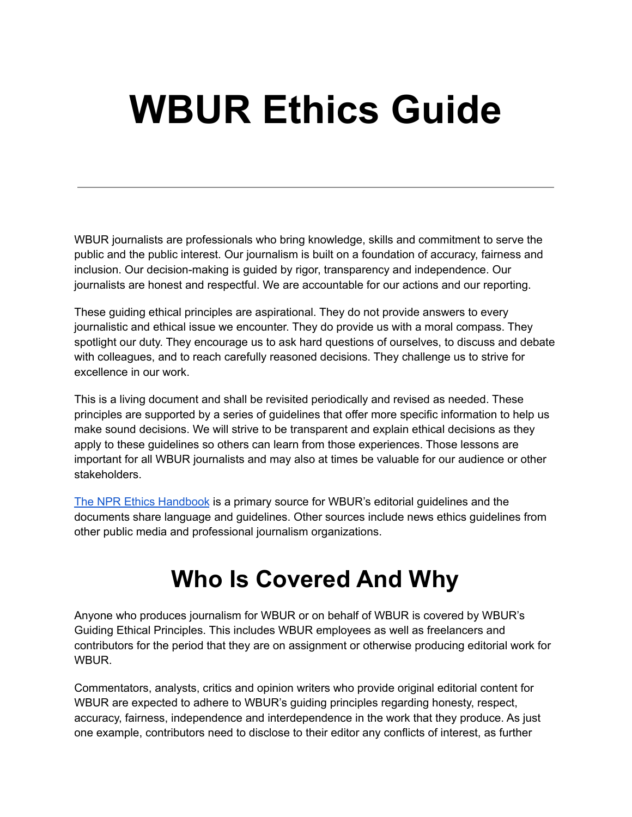# **WBUR Ethics Guide**

WBUR journalists are professionals who bring knowledge, skills and commitment to serve the public and the public interest. Our journalism is built on a foundation of accuracy, fairness and inclusion. Our decision-making is guided by rigor, transparency and independence. Our journalists are honest and respectful. We are accountable for our actions and our reporting.

These guiding ethical principles are aspirational. They do not provide answers to every journalistic and ethical issue we encounter. They do provide us with a moral compass. They spotlight our duty. They encourage us to ask hard questions of ourselves, to discuss and debate with colleagues, and to reach carefully reasoned decisions. They challenge us to strive for excellence in our work.

This is a living document and shall be revisited periodically and revised as needed. These principles are supported by a series of guidelines that offer more specific information to help us make sound decisions. We will strive to be transparent and explain ethical decisions as they apply to these guidelines so others can learn from those experiences. Those lessons are important for all WBUR journalists and may also at times be valuable for our audience or other stakeholders.

The NPR Ethics [Handbook](https://www.npr.org/series/688409791/npr-ethics-handbook) is a primary source for WBUR's editorial guidelines and the documents share language and guidelines. Other sources include news ethics guidelines from other public media and professional journalism organizations.

# **Who Is Covered And Why**

Anyone who produces journalism for WBUR or on behalf of WBUR is covered by WBUR's Guiding Ethical Principles. This includes WBUR employees as well as freelancers and contributors for the period that they are on assignment or otherwise producing editorial work for WBUR.

Commentators, analysts, critics and opinion writers who provide original editorial content for WBUR are expected to adhere to WBUR's guiding principles regarding honesty, respect, accuracy, fairness, independence and interdependence in the work that they produce. As just one example, contributors need to disclose to their editor any conflicts of interest, as further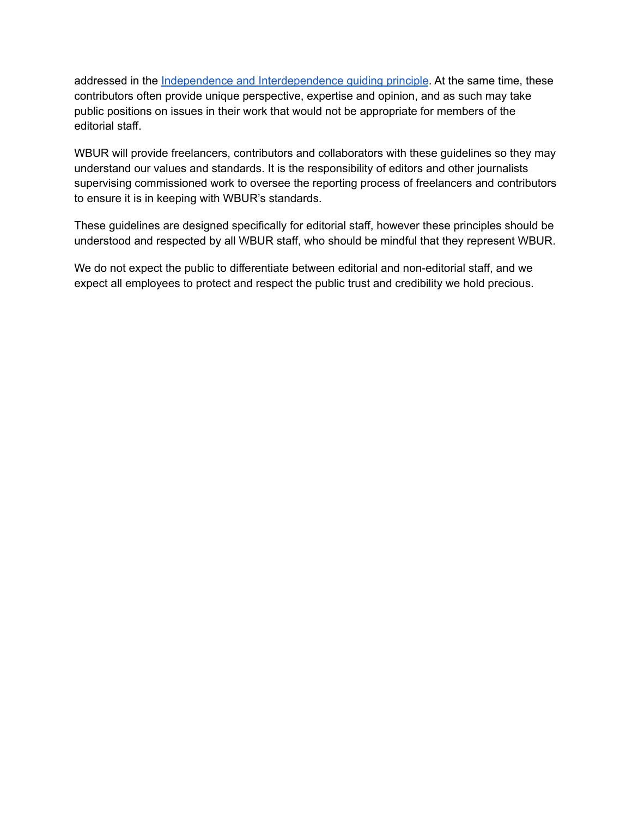addressed in the Independence and [Interdependence](http://www.wbur.org/2022/03/09/ethics-guide-independence-and-interdependence) guiding principle. At the same time, these contributors often provide unique perspective, expertise and opinion, and as such may take public positions on issues in their work that would not be appropriate for members of the editorial staff.

WBUR will provide freelancers, contributors and collaborators with these guidelines so they may understand our values and standards. It is the responsibility of editors and other journalists supervising commissioned work to oversee the reporting process of freelancers and contributors to ensure it is in keeping with WBUR's standards.

These guidelines are designed specifically for editorial staff, however these principles should be understood and respected by all WBUR staff, who should be mindful that they represent WBUR.

We do not expect the public to differentiate between editorial and non-editorial staff, and we expect all employees to protect and respect the public trust and credibility we hold precious.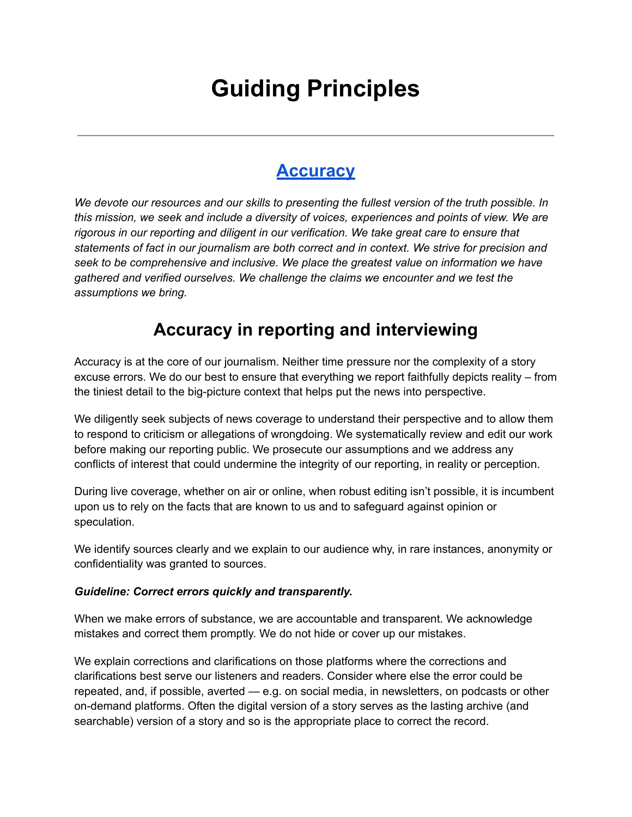# **Guiding Principles**

### **[Accuracy](http://www.wbur.org/2022/03/09/ethics-guide-accuracy)**

*We devote our resources and our skills to presenting the fullest version of the truth possible. In this mission, we seek and include a diversity of voices, experiences and points of view. We are rigorous in our reporting and diligent in our verification. We take great care to ensure that statements of fact in our journalism are both correct and in context. We strive for precision and seek to be comprehensive and inclusive. We place the greatest value on information we have gathered and verified ourselves. We challenge the claims we encounter and we test the assumptions we bring.*

### **Accuracy in reporting and interviewing**

Accuracy is at the core of our journalism. Neither time pressure nor the complexity of a story excuse errors. We do our best to ensure that everything we report faithfully depicts reality – from the tiniest detail to the big-picture context that helps put the news into perspective.

We diligently seek subjects of news coverage to understand their perspective and to allow them to respond to criticism or allegations of wrongdoing. We systematically review and edit our work before making our reporting public. We prosecute our assumptions and we address any conflicts of interest that could undermine the integrity of our reporting, in reality or perception.

During live coverage, whether on air or online, when robust editing isn't possible, it is incumbent upon us to rely on the facts that are known to us and to safeguard against opinion or speculation.

We identify sources clearly and we explain to our audience why, in rare instances, anonymity or confidentiality was granted to sources.

### *Guideline: Correct errors quickly and transparently.*

When we make errors of substance, we are accountable and transparent. We acknowledge mistakes and correct them promptly. We do not hide or cover up our mistakes.

We explain corrections and clarifications on those platforms where the corrections and clarifications best serve our listeners and readers. Consider where else the error could be repeated, and, if possible, averted — e.g. on social media, in newsletters, on podcasts or other on-demand platforms. Often the digital version of a story serves as the lasting archive (and searchable) version of a story and so is the appropriate place to correct the record.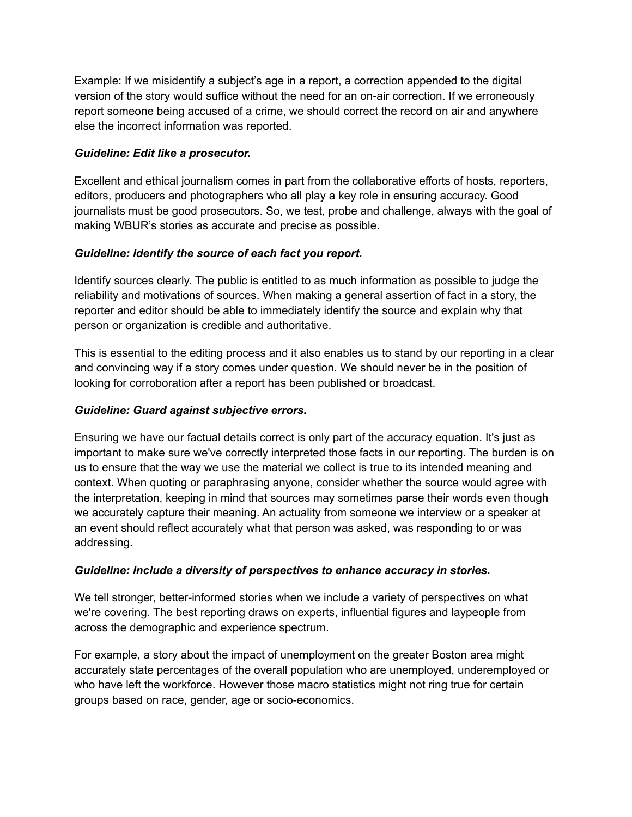Example: If we misidentify a subject's age in a report, a correction appended to the digital version of the story would suffice without the need for an on-air correction. If we erroneously report someone being accused of a crime, we should correct the record on air and anywhere else the incorrect information was reported.

### *Guideline: Edit like a prosecutor.*

Excellent and ethical journalism comes in part from the collaborative efforts of hosts, reporters, editors, producers and photographers who all play a key role in ensuring accuracy. Good journalists must be good prosecutors. So, we test, probe and challenge, always with the goal of making WBUR's stories as accurate and precise as possible.

### *Guideline: Identify the source of each fact you report.*

Identify sources clearly. The public is entitled to as much information as possible to judge the reliability and motivations of sources. When making a general assertion of fact in a story, the reporter and editor should be able to immediately identify the source and explain why that person or organization is credible and authoritative.

This is essential to the editing process and it also enables us to stand by our reporting in a clear and convincing way if a story comes under question. We should never be in the position of looking for corroboration after a report has been published or broadcast.

### *Guideline: Guard against subjective errors.*

Ensuring we have our factual details correct is only part of the accuracy equation. It's just as important to make sure we've correctly interpreted those facts in our reporting. The burden is on us to ensure that the way we use the material we collect is true to its intended meaning and context. When quoting or paraphrasing anyone, consider whether the source would agree with the interpretation, keeping in mind that sources may sometimes parse their words even though we accurately capture their meaning. An actuality from someone we interview or a speaker at an event should reflect accurately what that person was asked, was responding to or was addressing.

### *Guideline: Include a diversity of perspectives to enhance accuracy in stories.*

We tell stronger, better-informed stories when we include a variety of perspectives on what we're covering. The best reporting draws on experts, influential figures and laypeople from across the demographic and experience spectrum.

For example, a story about the impact of unemployment on the greater Boston area might accurately state percentages of the overall population who are unemployed, underemployed or who have left the workforce. However those macro statistics might not ring true for certain groups based on race, gender, age or socio-economics.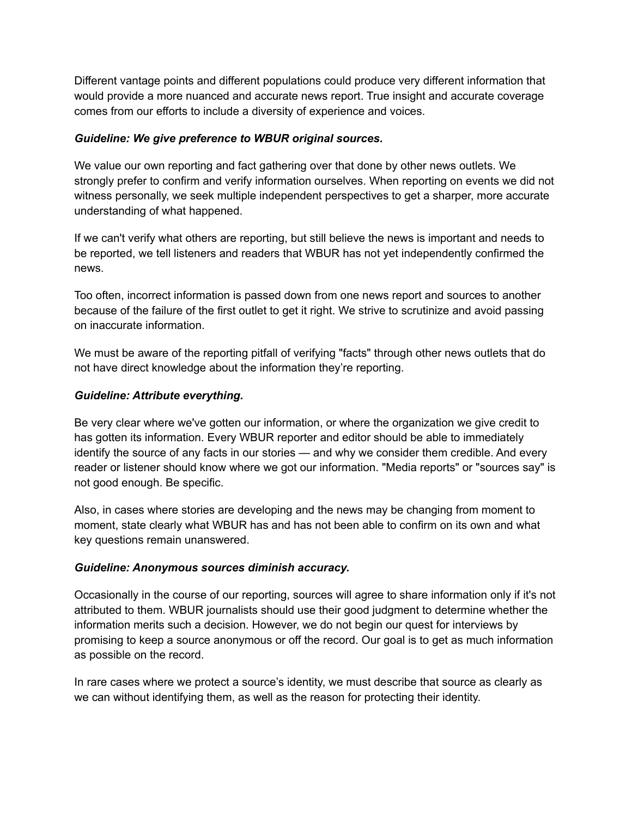Different vantage points and different populations could produce very different information that would provide a more nuanced and accurate news report. True insight and accurate coverage comes from our efforts to include a diversity of experience and voices.

### *Guideline: We give preference to WBUR original sources.*

We value our own reporting and fact gathering over that done by other news outlets. We strongly prefer to confirm and verify information ourselves. When reporting on events we did not witness personally, we seek multiple independent perspectives to get a sharper, more accurate understanding of what happened.

If we can't verify what others are reporting, but still believe the news is important and needs to be reported, we tell listeners and readers that WBUR has not yet independently confirmed the news.

Too often, incorrect information is passed down from one news report and sources to another because of the failure of the first outlet to get it right. We strive to scrutinize and avoid passing on inaccurate information.

We must be aware of the reporting pitfall of verifying "facts" through other news outlets that do not have direct knowledge about the information they're reporting.

### *Guideline: Attribute everything.*

Be very clear where we've gotten our information, or where the organization we give credit to has gotten its information. Every WBUR reporter and editor should be able to immediately identify the source of any facts in our stories — and why we consider them credible. And every reader or listener should know where we got our information. "Media reports" or "sources say" is not good enough. Be specific.

Also, in cases where stories are developing and the news may be changing from moment to moment, state clearly what WBUR has and has not been able to confirm on its own and what key questions remain unanswered.

### *Guideline: Anonymous sources diminish accuracy.*

Occasionally in the course of our reporting, sources will agree to share information only if it's not attributed to them. WBUR journalists should use their good judgment to determine whether the information merits such a decision. However, we do not begin our quest for interviews by promising to keep a source anonymous or off the record. Our goal is to get as much information as possible on the record.

In rare cases where we protect a source's identity, we must describe that source as clearly as we can without identifying them, as well as the reason for protecting their identity.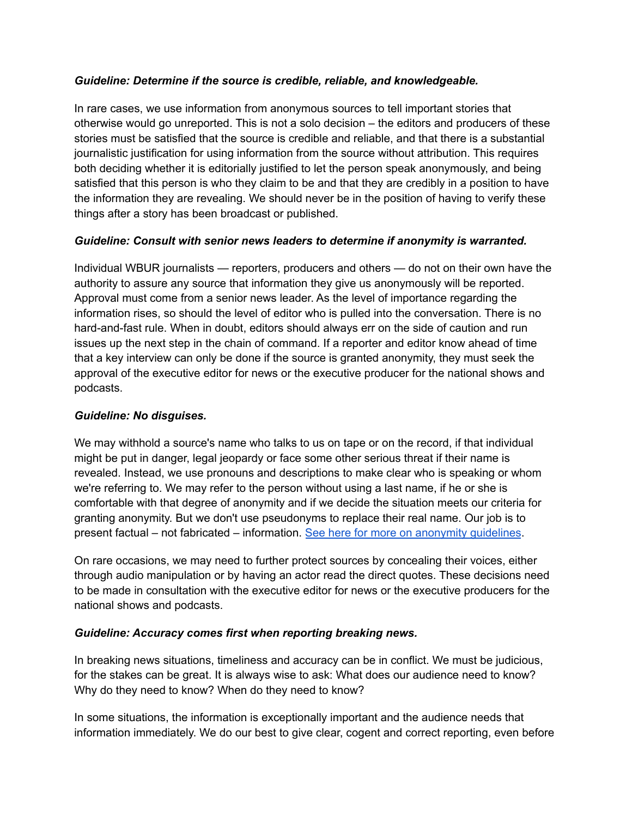### *Guideline: Determine if the source is credible, reliable, and knowledgeable.*

In rare cases, we use information from anonymous sources to tell important stories that otherwise would go unreported. This is not a solo decision – the editors and producers of these stories must be satisfied that the source is credible and reliable, and that there is a substantial journalistic justification for using information from the source without attribution. This requires both deciding whether it is editorially justified to let the person speak anonymously, and being satisfied that this person is who they claim to be and that they are credibly in a position to have the information they are revealing. We should never be in the position of having to verify these things after a story has been broadcast or published.

### *Guideline: Consult with senior news leaders to determine if anonymity is warranted.*

Individual WBUR journalists — reporters, producers and others — do not on their own have the authority to assure any source that information they give us anonymously will be reported. Approval must come from a senior news leader. As the level of importance regarding the information rises, so should the level of editor who is pulled into the conversation. There is no hard-and-fast rule. When in doubt, editors should always err on the side of caution and run issues up the next step in the chain of command. If a reporter and editor know ahead of time that a key interview can only be done if the source is granted anonymity, they must seek the approval of the executive editor for news or the executive producer for the national shows and podcasts.

### *Guideline: No disguises.*

We may withhold a source's name who talks to us on tape or on the record, if that individual might be put in danger, legal jeopardy or face some other serious threat if their name is revealed. Instead, we use pronouns and descriptions to make clear who is speaking or whom we're referring to. We may refer to the person without using a last name, if he or she is comfortable with that degree of anonymity and if we decide the situation meets our criteria for granting anonymity. But we don't use pseudonyms to replace their real name. Our job is to present factual – not fabricated – information. See here for more on [anonymity](http://www.wbur.org/2022/03/09/ethics-guide-fairness) guidelines.

On rare occasions, we may need to further protect sources by concealing their voices, either through audio manipulation or by having an actor read the direct quotes. These decisions need to be made in consultation with the executive editor for news or the executive producers for the national shows and podcasts.

### *Guideline: Accuracy comes first when reporting breaking news.*

In breaking news situations, timeliness and accuracy can be in conflict. We must be judicious, for the stakes can be great. It is always wise to ask: What does our audience need to know? Why do they need to know? When do they need to know?

In some situations, the information is exceptionally important and the audience needs that information immediately. We do our best to give clear, cogent and correct reporting, even before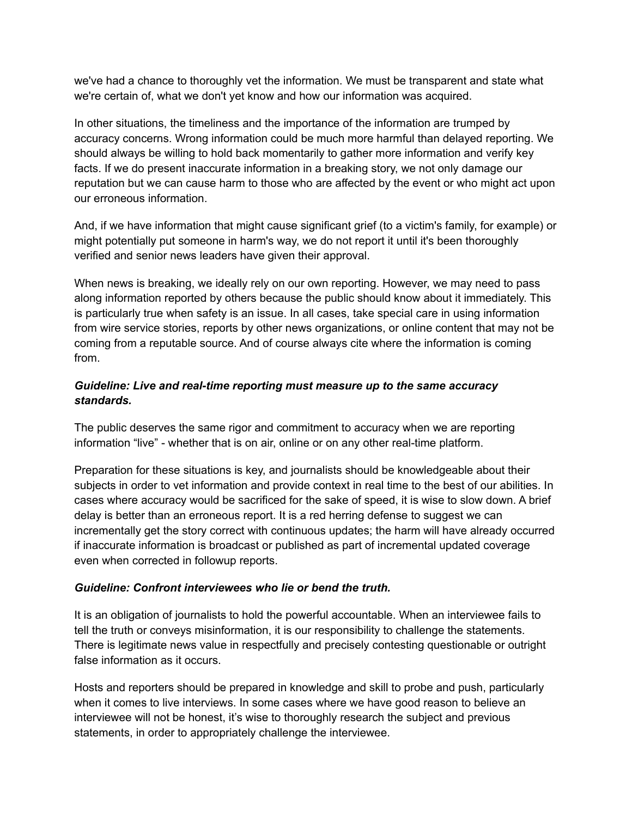we've had a chance to thoroughly vet the information. We must be transparent and state what we're certain of, what we don't yet know and how our information was acquired.

In other situations, the timeliness and the importance of the information are trumped by accuracy concerns. Wrong information could be much more harmful than delayed reporting. We should always be willing to hold back momentarily to gather more information and verify key facts. If we do present inaccurate information in a breaking story, we not only damage our reputation but we can cause harm to those who are affected by the event or who might act upon our erroneous information.

And, if we have information that might cause significant grief (to a victim's family, for example) or might potentially put someone in harm's way, we do not report it until it's been thoroughly verified and senior news leaders have given their approval.

When news is breaking, we ideally rely on our own reporting. However, we may need to pass along information reported by others because the public should know about it immediately. This is particularly true when safety is an issue. In all cases, take special care in using information from wire service stories, reports by other news organizations, or online content that may not be coming from a reputable source. And of course always cite where the information is coming from.

### *Guideline: Live and real-time reporting must measure up to the same accuracy standards.*

The public deserves the same rigor and commitment to accuracy when we are reporting information "live" - whether that is on air, online or on any other real-time platform.

Preparation for these situations is key, and journalists should be knowledgeable about their subjects in order to vet information and provide context in real time to the best of our abilities. In cases where accuracy would be sacrificed for the sake of speed, it is wise to slow down. A brief delay is better than an erroneous report. It is a red herring defense to suggest we can incrementally get the story correct with continuous updates; the harm will have already occurred if inaccurate information is broadcast or published as part of incremental updated coverage even when corrected in followup reports.

### *Guideline: Confront interviewees who lie or bend the truth.*

It is an obligation of journalists to hold the powerful accountable. When an interviewee fails to tell the truth or conveys misinformation, it is our responsibility to challenge the statements. There is legitimate news value in respectfully and precisely contesting questionable or outright false information as it occurs.

Hosts and reporters should be prepared in knowledge and skill to probe and push, particularly when it comes to live interviews. In some cases where we have good reason to believe an interviewee will not be honest, it's wise to thoroughly research the subject and previous statements, in order to appropriately challenge the interviewee.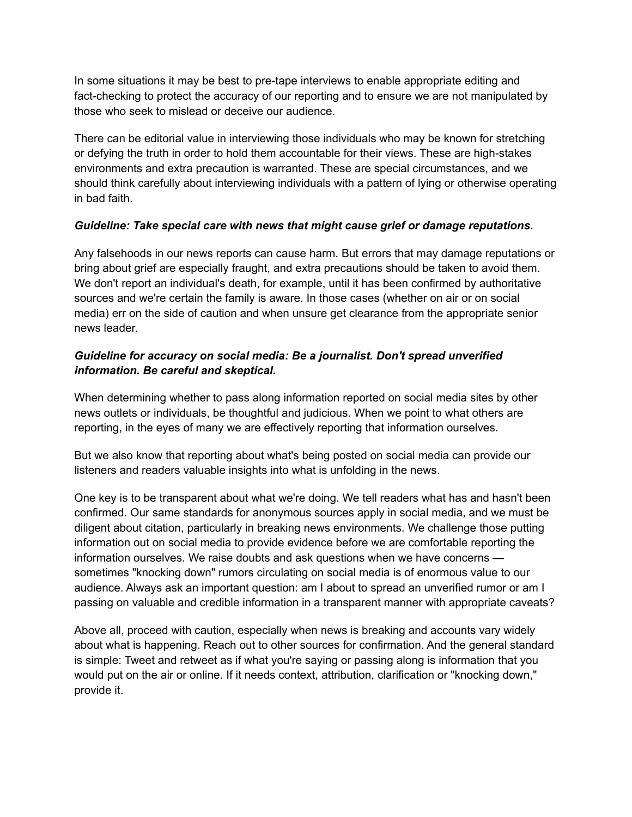In some situations it may be best to pre-tape interviews to enable appropriate editing and fact-checking to protect the accuracy of our reporting and to ensure we are not manipulated by those who seek to mislead or deceive our audience.

There can be editorial value in interviewing those individuals who may be known for stretching or defying the truth in order to hold them accountable for their views. These are high-stakes environments and extra precaution is warranted. These are special circumstances, and we should think carefully about interviewing individuals with a pattern of lying or otherwise operating in bad faith.

### *Guideline: Take special care with news that might cause grief or damage reputations.*

Any falsehoods in our news reports can cause harm. But errors that may damage reputations or bring about grief are especially fraught, and extra precautions should be taken to avoid them. We don't report an individual's death, for example, until it has been confirmed by authoritative sources and we're certain the family is aware. In those cases (whether on air or on social media) err on the side of caution and when unsure get clearance from the appropriate senior news leader.

### *Guideline for accuracy on social media: Be a journalist. Don't spread unverified information. Be careful and skeptical.*

When determining whether to pass along information reported on social media sites by other news outlets or individuals, be thoughtful and judicious. When we point to what others are reporting, in the eyes of many we are effectively reporting that information ourselves.

But we also know that reporting about what's being posted on social media can provide our listeners and readers valuable insights into what is unfolding in the news.

One key is to be transparent about what we're doing. We tell readers what has and hasn't been confirmed. Our same standards for anonymous sources apply in social media, and we must be diligent about citation, particularly in breaking news environments. We challenge those putting information out on social media to provide evidence before we are comfortable reporting the information ourselves. We raise doubts and ask questions when we have concerns sometimes "knocking down" rumors circulating on social media is of enormous value to our audience. Always ask an important question: am I about to spread an unverified rumor or am I passing on valuable and credible information in a transparent manner with appropriate caveats?

Above all, proceed with caution, especially when news is breaking and accounts vary widely about what is happening. Reach out to other sources for confirmation. And the general standard is simple: Tweet and retweet as if what you're saying or passing along is information that you would put on the air or online. If it needs context, attribution, clarification or "knocking down," provide it.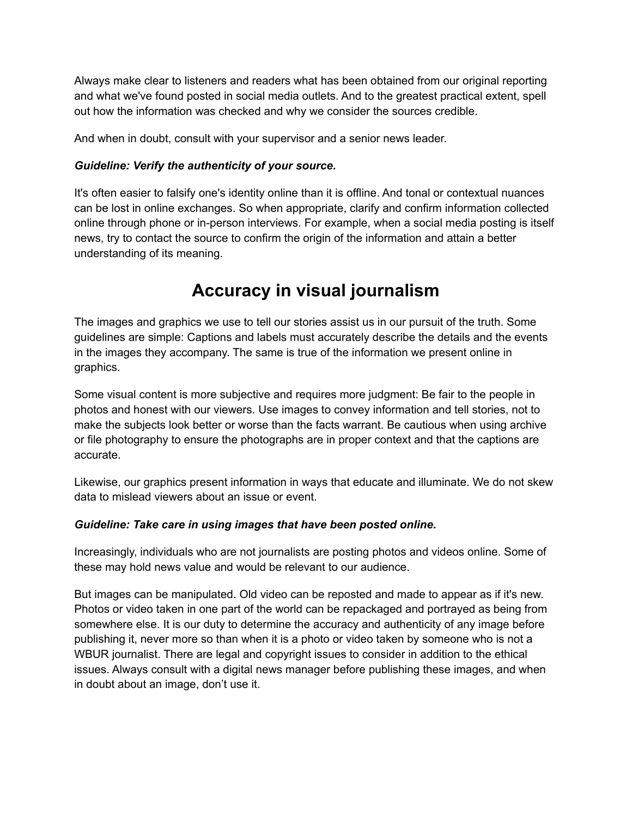Always make clear to listeners and readers what has been obtained from our original reporting and what we've found posted in social media outlets. And to the greatest practical extent, spell out how the information was checked and why we consider the sources credible.

And when in doubt, consult with your supervisor and a senior news leader.

### *Guideline: Verify the authenticity of your source.*

It's often easier to falsify one's identity online than it is offline. And tonal or contextual nuances can be lost in online exchanges. So when appropriate, clarify and confirm information collected online through phone or in-person interviews. For example, when a social media posting is itself news, try to contact the source to confirm the origin of the information and attain a better understanding of its meaning.

### **Accuracy in visual journalism**

The images and graphics we use to tell our stories assist us in our pursuit of the truth. Some guidelines are simple: Captions and labels must accurately describe the details and the events in the images they accompany. The same is true of the information we present online in graphics.

Some visual content is more subjective and requires more judgment: Be fair to the people in photos and honest with our viewers. Use images to convey information and tell stories, not to make the subjects look better or worse than the facts warrant. Be cautious when using archive or file photography to ensure the photographs are in proper context and that the captions are accurate.

Likewise, our graphics present information in ways that educate and illuminate. We do not skew data to mislead viewers about an issue or event.

### *Guideline: Take care in using images that have been posted online.*

Increasingly, individuals who are not journalists are posting photos and videos online. Some of these may hold news value and would be relevant to our audience.

But images can be manipulated. Old video can be reposted and made to appear as if it's new. Photos or video taken in one part of the world can be repackaged and portrayed as being from somewhere else. It is our duty to determine the accuracy and authenticity of any image before publishing it, never more so than when it is a photo or video taken by someone who is not a WBUR journalist. There are legal and copyright issues to consider in addition to the ethical issues. Always consult with a digital news manager before publishing these images, and when in doubt about an image, don't use it.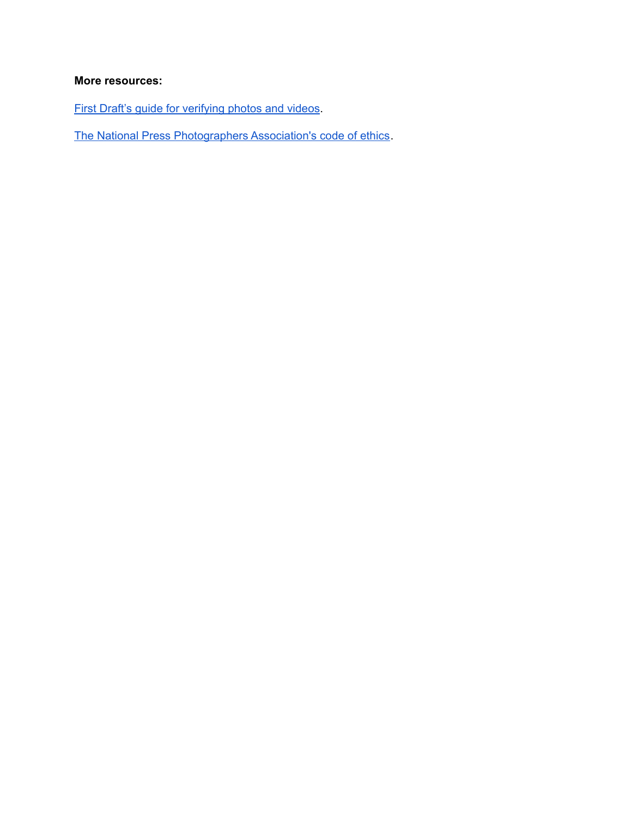### **More resources:**

First Draft's guide for [verifying](https://firstdraftnews.org/en/education/curriculum-resource/verifying-photos-videos/) photos and videos.

The National Press [Photographers](https://nppa.org/code_of_ethics) Association's code of ethics.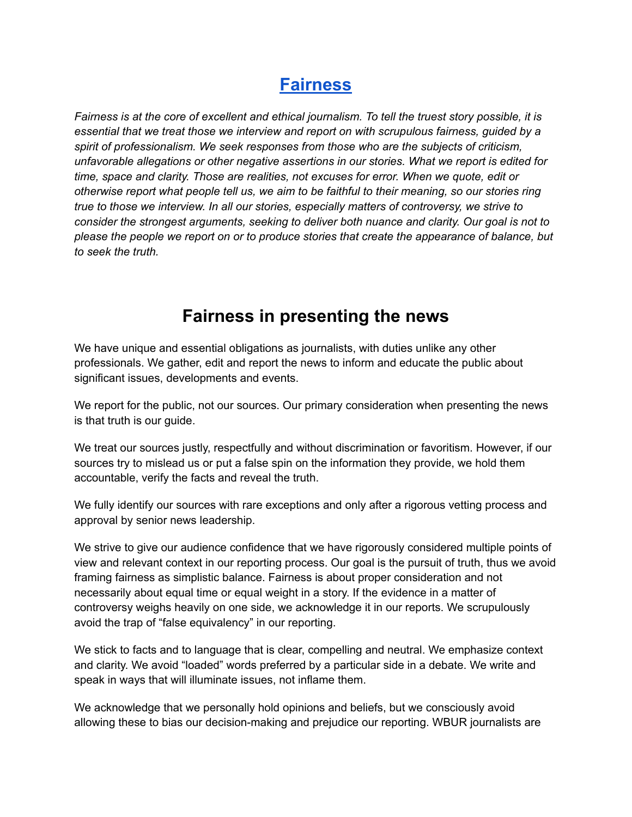### **[Fairness](http://www.wbur.org/2022/03/09/ethics-guide-fairness)**

Fairness is at the core of excellent and ethical journalism. To tell the truest story possible, it is *essential that we treat those we interview and report on with scrupulous fairness, guided by a spirit of professionalism. We seek responses from those who are the subjects of criticism, unfavorable allegations or other negative assertions in our stories. What we report is edited for time, space and clarity. Those are realities, not excuses for error. When we quote, edit or otherwise report what people tell us, we aim to be faithful to their meaning, so our stories ring true to those we interview. In all our stories, especially matters of controversy, we strive to consider the strongest arguments, seeking to deliver both nuance and clarity. Our goal is not to please the people we report on or to produce stories that create the appearance of balance, but to seek the truth.*

### **Fairness in presenting the news**

We have unique and essential obligations as journalists, with duties unlike any other professionals. We gather, edit and report the news to inform and educate the public about significant issues, developments and events.

We report for the public, not our sources. Our primary consideration when presenting the news is that truth is our guide.

We treat our sources justly, respectfully and without discrimination or favoritism. However, if our sources try to mislead us or put a false spin on the information they provide, we hold them accountable, verify the facts and reveal the truth.

We fully identify our sources with rare exceptions and only after a rigorous vetting process and approval by senior news leadership.

We strive to give our audience confidence that we have rigorously considered multiple points of view and relevant context in our reporting process. Our goal is the pursuit of truth, thus we avoid framing fairness as simplistic balance. Fairness is about proper consideration and not necessarily about equal time or equal weight in a story. If the evidence in a matter of controversy weighs heavily on one side, we acknowledge it in our reports. We scrupulously avoid the trap of "false equivalency" in our reporting.

We stick to facts and to language that is clear, compelling and neutral. We emphasize context and clarity. We avoid "loaded" words preferred by a particular side in a debate. We write and speak in ways that will illuminate issues, not inflame them.

We acknowledge that we personally hold opinions and beliefs, but we consciously avoid allowing these to bias our decision-making and prejudice our reporting. WBUR journalists are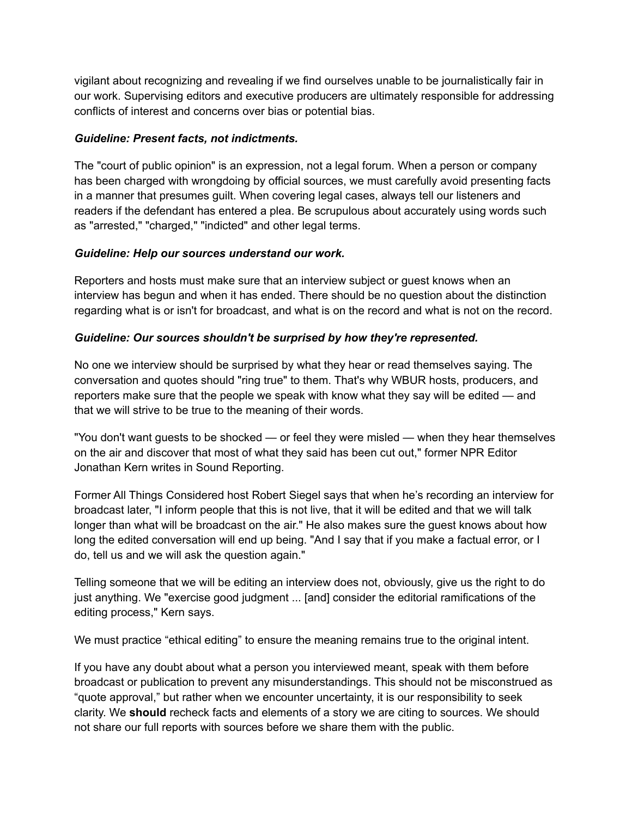vigilant about recognizing and revealing if we find ourselves unable to be journalistically fair in our work. Supervising editors and executive producers are ultimately responsible for addressing conflicts of interest and concerns over bias or potential bias.

### *Guideline: Present facts, not indictments.*

The "court of public opinion" is an expression, not a legal forum. When a person or company has been charged with wrongdoing by official sources, we must carefully avoid presenting facts in a manner that presumes guilt. When covering legal cases, always tell our listeners and readers if the defendant has entered a plea. Be scrupulous about accurately using words such as "arrested," "charged," "indicted" and other legal terms.

### *Guideline: Help our sources understand our work.*

Reporters and hosts must make sure that an interview subject or guest knows when an interview has begun and when it has ended. There should be no question about the distinction regarding what is or isn't for broadcast, and what is on the record and what is not on the record.

### *Guideline: Our sources shouldn't be surprised by how they're represented.*

No one we interview should be surprised by what they hear or read themselves saying. The conversation and quotes should "ring true" to them. That's why WBUR hosts, producers, and reporters make sure that the people we speak with know what they say will be edited — and that we will strive to be true to the meaning of their words.

"You don't want guests to be shocked — or feel they were misled — when they hear themselves on the air and discover that most of what they said has been cut out," former NPR Editor Jonathan Kern writes in Sound Reporting.

Former All Things Considered host Robert Siegel says that when he's recording an interview for broadcast later, "I inform people that this is not live, that it will be edited and that we will talk longer than what will be broadcast on the air." He also makes sure the guest knows about how long the edited conversation will end up being. "And I say that if you make a factual error, or I do, tell us and we will ask the question again."

Telling someone that we will be editing an interview does not, obviously, give us the right to do just anything. We "exercise good judgment ... [and] consider the editorial ramifications of the editing process," Kern says.

We must practice "ethical editing" to ensure the meaning remains true to the original intent.

If you have any doubt about what a person you interviewed meant, speak with them before broadcast or publication to prevent any misunderstandings. This should not be misconstrued as "quote approval," but rather when we encounter uncertainty, it is our responsibility to seek clarity. We **should** recheck facts and elements of a story we are citing to sources. We should not share our full reports with sources before we share them with the public.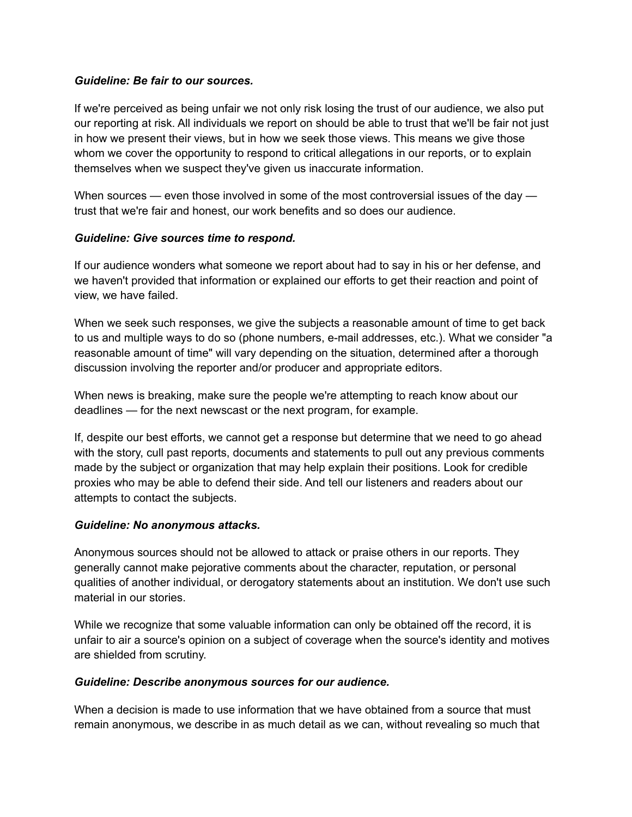#### *Guideline: Be fair to our sources.*

If we're perceived as being unfair we not only risk losing the trust of our audience, we also put our reporting at risk. All individuals we report on should be able to trust that we'll be fair not just in how we present their views, but in how we seek those views. This means we give those whom we cover the opportunity to respond to critical allegations in our reports, or to explain themselves when we suspect they've given us inaccurate information.

When sources — even those involved in some of the most controversial issues of the day trust that we're fair and honest, our work benefits and so does our audience.

### *Guideline: Give sources time to respond.*

If our audience wonders what someone we report about had to say in his or her defense, and we haven't provided that information or explained our efforts to get their reaction and point of view, we have failed.

When we seek such responses, we give the subjects a reasonable amount of time to get back to us and multiple ways to do so (phone numbers, e-mail addresses, etc.). What we consider "a reasonable amount of time" will vary depending on the situation, determined after a thorough discussion involving the reporter and/or producer and appropriate editors.

When news is breaking, make sure the people we're attempting to reach know about our deadlines — for the next newscast or the next program, for example.

If, despite our best efforts, we cannot get a response but determine that we need to go ahead with the story, cull past reports, documents and statements to pull out any previous comments made by the subject or organization that may help explain their positions. Look for credible proxies who may be able to defend their side. And tell our listeners and readers about our attempts to contact the subjects.

### *Guideline: No anonymous attacks.*

Anonymous sources should not be allowed to attack or praise others in our reports. They generally cannot make pejorative comments about the character, reputation, or personal qualities of another individual, or derogatory statements about an institution. We don't use such material in our stories.

While we recognize that some valuable information can only be obtained off the record, it is unfair to air a source's opinion on a subject of coverage when the source's identity and motives are shielded from scrutiny.

#### *Guideline: Describe anonymous sources for our audience.*

When a decision is made to use information that we have obtained from a source that must remain anonymous, we describe in as much detail as we can, without revealing so much that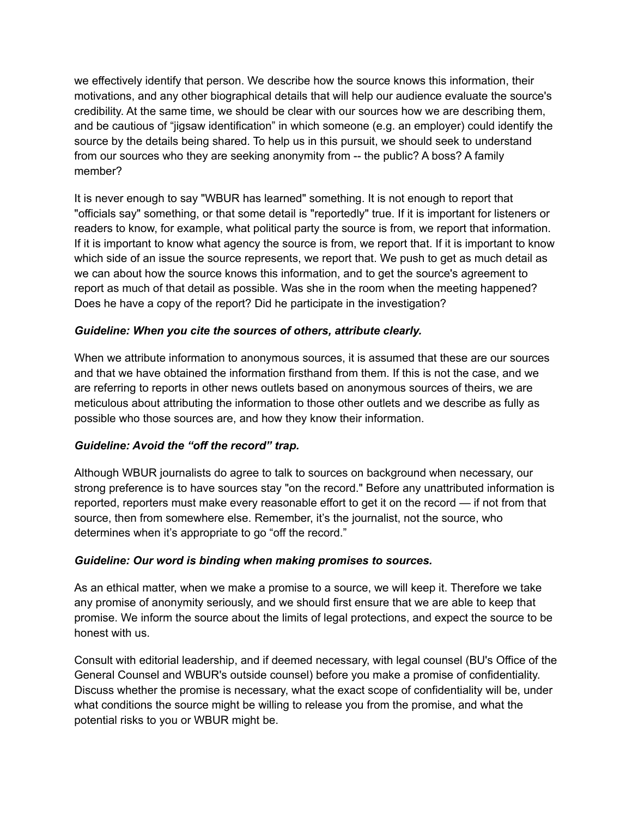we effectively identify that person. We describe how the source knows this information, their motivations, and any other biographical details that will help our audience evaluate the source's credibility. At the same time, we should be clear with our sources how we are describing them, and be cautious of "jigsaw identification" in which someone (e.g. an employer) could identify the source by the details being shared. To help us in this pursuit, we should seek to understand from our sources who they are seeking anonymity from -- the public? A boss? A family member?

It is never enough to say "WBUR has learned" something. It is not enough to report that "officials say" something, or that some detail is "reportedly" true. If it is important for listeners or readers to know, for example, what political party the source is from, we report that information. If it is important to know what agency the source is from, we report that. If it is important to know which side of an issue the source represents, we report that. We push to get as much detail as we can about how the source knows this information, and to get the source's agreement to report as much of that detail as possible. Was she in the room when the meeting happened? Does he have a copy of the report? Did he participate in the investigation?

### *Guideline: When you cite the sources of others, attribute clearly.*

When we attribute information to anonymous sources, it is assumed that these are our sources and that we have obtained the information firsthand from them. If this is not the case, and we are referring to reports in other news outlets based on anonymous sources of theirs, we are meticulous about attributing the information to those other outlets and we describe as fully as possible who those sources are, and how they know their information.

### *Guideline: Avoid the "off the record" trap.*

Although WBUR journalists do agree to talk to sources on background when necessary, our strong preference is to have sources stay "on the record." Before any unattributed information is reported, reporters must make every reasonable effort to get it on the record — if not from that source, then from somewhere else. Remember, it's the journalist, not the source, who determines when it's appropriate to go "off the record."

#### *Guideline: Our word is binding when making promises to sources.*

As an ethical matter, when we make a promise to a source, we will keep it. Therefore we take any promise of anonymity seriously, and we should first ensure that we are able to keep that promise. We inform the source about the limits of legal protections, and expect the source to be honest with us.

Consult with editorial leadership, and if deemed necessary, with legal counsel (BU's Office of the General Counsel and WBUR's outside counsel) before you make a promise of confidentiality. Discuss whether the promise is necessary, what the exact scope of confidentiality will be, under what conditions the source might be willing to release you from the promise, and what the potential risks to you or WBUR might be.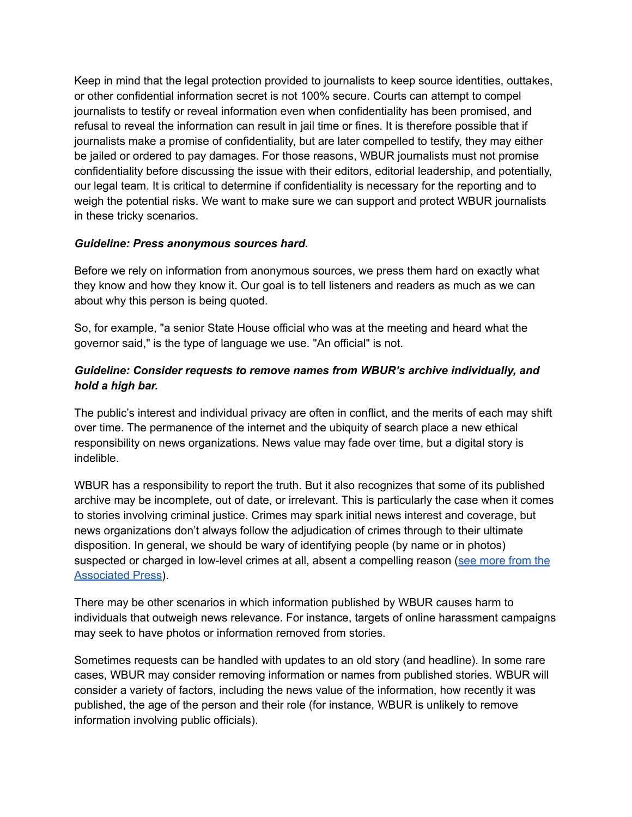Keep in mind that the legal protection provided to journalists to keep source identities, outtakes, or other confidential information secret is not 100% secure. Courts can attempt to compel journalists to testify or reveal information even when confidentiality has been promised, and refusal to reveal the information can result in jail time or fines. It is therefore possible that if journalists make a promise of confidentiality, but are later compelled to testify, they may either be jailed or ordered to pay damages. For those reasons, WBUR journalists must not promise confidentiality before discussing the issue with their editors, editorial leadership, and potentially, our legal team. It is critical to determine if confidentiality is necessary for the reporting and to weigh the potential risks. We want to make sure we can support and protect WBUR journalists in these tricky scenarios.

#### *Guideline: Press anonymous sources hard.*

Before we rely on information from anonymous sources, we press them hard on exactly what they know and how they know it. Our goal is to tell listeners and readers as much as we can about why this person is being quoted.

So, for example, "a senior State House official who was at the meeting and heard what the governor said," is the type of language we use. "An official" is not.

### *Guideline: Consider requests to remove names from WBUR's archive individually, and hold a high bar.*

The public's interest and individual privacy are often in conflict, and the merits of each may shift over time. The permanence of the internet and the ubiquity of search place a new ethical responsibility on news organizations. News value may fade over time, but a digital story is indelible.

WBUR has a responsibility to report the truth. But it also recognizes that some of its published archive may be incomplete, out of date, or irrelevant. This is particularly the case when it comes to stories involving criminal justice. Crimes may spark initial news interest and coverage, but news organizations don't always follow the adjudication of crimes through to their ultimate disposition. In general, we should be wary of identifying people (by name or in photos) suspected or charged in low-level crimes at all, absent a compelling reason (see [more](https://apnews.com/article/crime-technology-df0a7cd66590d9cb29ed1526ec03b58f) from the [Associated](https://apnews.com/article/crime-technology-df0a7cd66590d9cb29ed1526ec03b58f) Press).

There may be other scenarios in which information published by WBUR causes harm to individuals that outweigh news relevance. For instance, targets of online harassment campaigns may seek to have photos or information removed from stories.

Sometimes requests can be handled with updates to an old story (and headline). In some rare cases, WBUR may consider removing information or names from published stories. WBUR will consider a variety of factors, including the news value of the information, how recently it was published, the age of the person and their role (for instance, WBUR is unlikely to remove information involving public officials).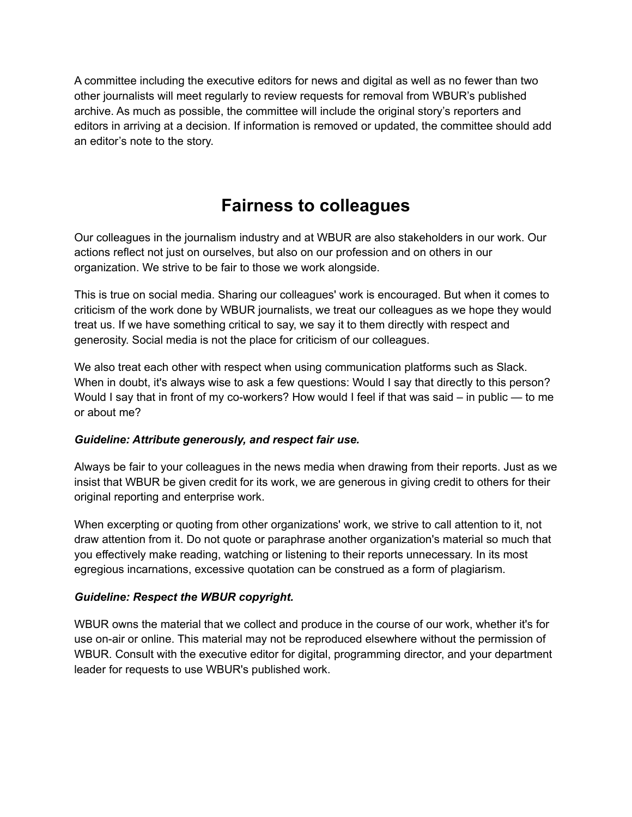A committee including the executive editors for news and digital as well as no fewer than two other journalists will meet regularly to review requests for removal from WBUR's published archive. As much as possible, the committee will include the original story's reporters and editors in arriving at a decision. If information is removed or updated, the committee should add an editor's note to the story.

### **Fairness to colleagues**

Our colleagues in the journalism industry and at WBUR are also stakeholders in our work. Our actions reflect not just on ourselves, but also on our profession and on others in our organization. We strive to be fair to those we work alongside.

This is true on social media. Sharing our colleagues' work is encouraged. But when it comes to criticism of the work done by WBUR journalists, we treat our colleagues as we hope they would treat us. If we have something critical to say, we say it to them directly with respect and generosity. Social media is not the place for criticism of our colleagues.

We also treat each other with respect when using communication platforms such as Slack. When in doubt, it's always wise to ask a few questions: Would I say that directly to this person? Would I say that in front of my co-workers? How would I feel if that was said – in public — to me or about me?

### *Guideline: Attribute generously, and respect fair use.*

Always be fair to your colleagues in the news media when drawing from their reports. Just as we insist that WBUR be given credit for its work, we are generous in giving credit to others for their original reporting and enterprise work.

When excerpting or quoting from other organizations' work, we strive to call attention to it, not draw attention from it. Do not quote or paraphrase another organization's material so much that you effectively make reading, watching or listening to their reports unnecessary. In its most egregious incarnations, excessive quotation can be construed as a form of plagiarism.

#### *Guideline: Respect the WBUR copyright.*

WBUR owns the material that we collect and produce in the course of our work, whether it's for use on-air or online. This material may not be reproduced elsewhere without the permission of WBUR. Consult with the executive editor for digital, programming director, and your department leader for requests to use WBUR's published work.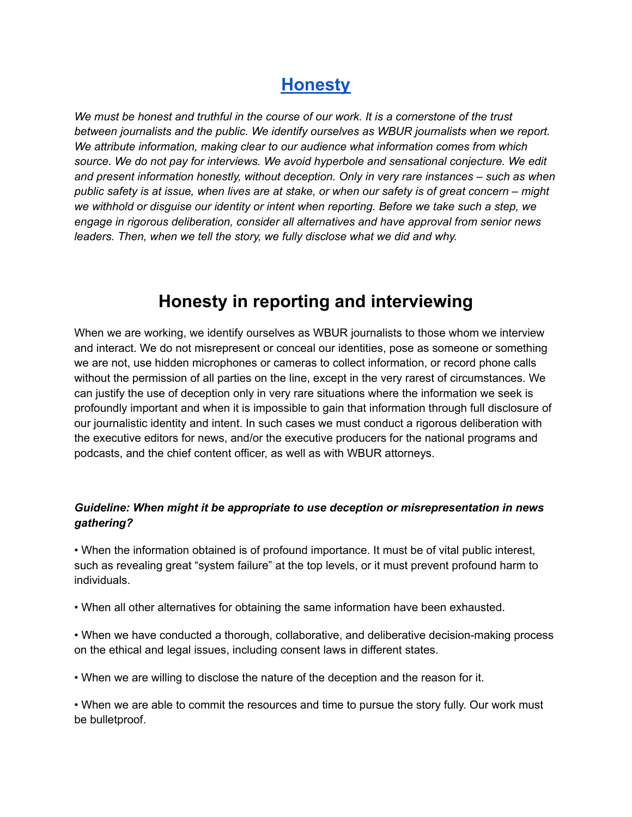### **[Honesty](http://www.wbur.org/2022/03/09/ethics-guide-honesty)**

*We must be honest and truthful in the course of our work. It is a cornerstone of the trust between journalists and the public. We identify ourselves as WBUR journalists when we report. We attribute information, making clear to our audience what information comes from which source. We do not pay for interviews. We avoid hyperbole and sensational conjecture. We edit and present information honestly, without deception. Only in very rare instances – such as when* public safety is at issue, when lives are at stake, or when our safety is of great concern – might *we withhold or disguise our identity or intent when reporting. Before we take such a step, we engage in rigorous deliberation, consider all alternatives and have approval from senior news leaders. Then, when we tell the story, we fully disclose what we did and why.*

### **Honesty in reporting and interviewing**

When we are working, we identify ourselves as WBUR journalists to those whom we interview and interact. We do not misrepresent or conceal our identities, pose as someone or something we are not, use hidden microphones or cameras to collect information, or record phone calls without the permission of all parties on the line, except in the very rarest of circumstances. We can justify the use of deception only in very rare situations where the information we seek is profoundly important and when it is impossible to gain that information through full disclosure of our journalistic identity and intent. In such cases we must conduct a rigorous deliberation with the executive editors for news, and/or the executive producers for the national programs and podcasts, and the chief content officer, as well as with WBUR attorneys.

### *Guideline: When might it be appropriate to use deception or misrepresentation in news gathering?*

• When the information obtained is of profound importance. It must be of vital public interest, such as revealing great "system failure" at the top levels, or it must prevent profound harm to individuals.

• When all other alternatives for obtaining the same information have been exhausted.

• When we have conducted a thorough, collaborative, and deliberative decision-making process on the ethical and legal issues, including consent laws in different states.

• When we are willing to disclose the nature of the deception and the reason for it.

• When we are able to commit the resources and time to pursue the story fully. Our work must be bulletproof.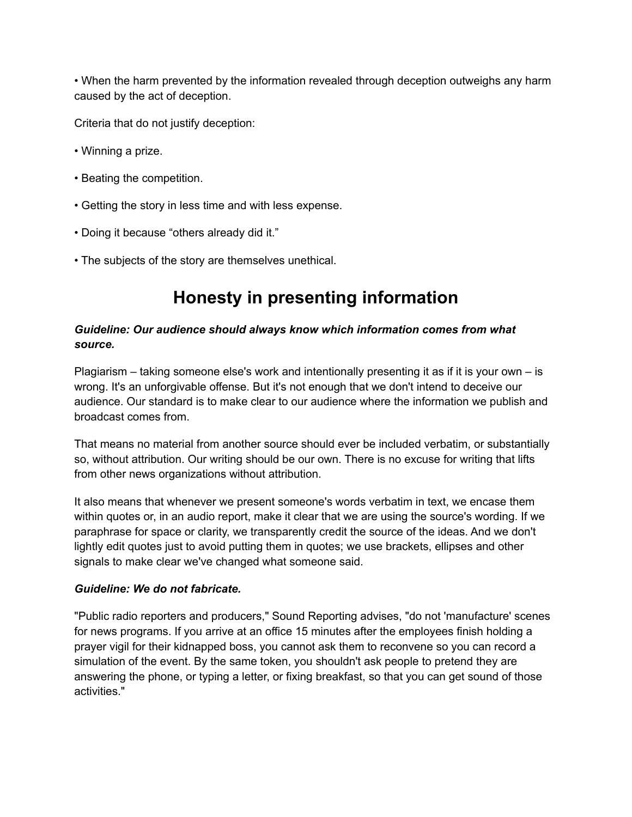• When the harm prevented by the information revealed through deception outweighs any harm caused by the act of deception.

Criteria that do not justify deception:

- Winning a prize.
- Beating the competition.
- Getting the story in less time and with less expense.
- Doing it because "others already did it."
- The subjects of the story are themselves unethical.

### **Honesty in presenting information**

### *Guideline: Our audience should always know which information comes from what source.*

Plagiarism – taking someone else's work and intentionally presenting it as if it is your own – is wrong. It's an unforgivable offense. But it's not enough that we don't intend to deceive our audience. Our standard is to make clear to our audience where the information we publish and broadcast comes from.

That means no material from another source should ever be included verbatim, or substantially so, without attribution. Our writing should be our own. There is no excuse for writing that lifts from other news organizations without attribution.

It also means that whenever we present someone's words verbatim in text, we encase them within quotes or, in an audio report, make it clear that we are using the source's wording. If we paraphrase for space or clarity, we transparently credit the source of the ideas. And we don't lightly edit quotes just to avoid putting them in quotes; we use brackets, ellipses and other signals to make clear we've changed what someone said.

#### *Guideline: We do not fabricate.*

"Public radio reporters and producers," Sound Reporting advises, "do not 'manufacture' scenes for news programs. If you arrive at an office 15 minutes after the employees finish holding a prayer vigil for their kidnapped boss, you cannot ask them to reconvene so you can record a simulation of the event. By the same token, you shouldn't ask people to pretend they are answering the phone, or typing a letter, or fixing breakfast, so that you can get sound of those activities."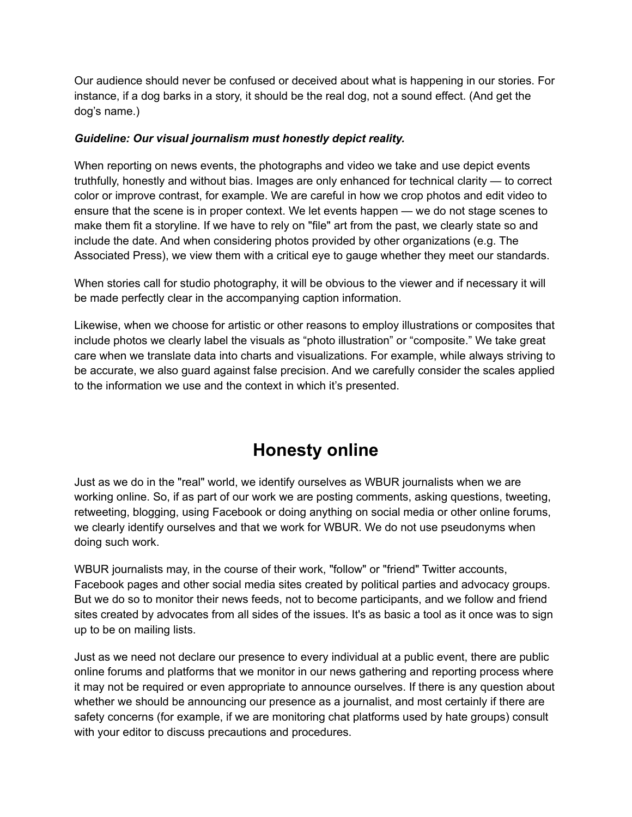Our audience should never be confused or deceived about what is happening in our stories. For instance, if a dog barks in a story, it should be the real dog, not a sound effect. (And get the dog's name.)

### *Guideline: Our visual journalism must honestly depict reality.*

When reporting on news events, the photographs and video we take and use depict events truthfully, honestly and without bias. Images are only enhanced for technical clarity — to correct color or improve contrast, for example. We are careful in how we crop photos and edit video to ensure that the scene is in proper context. We let events happen — we do not stage scenes to make them fit a storyline. If we have to rely on "file" art from the past, we clearly state so and include the date. And when considering photos provided by other organizations (e.g. The Associated Press), we view them with a critical eye to gauge whether they meet our standards.

When stories call for studio photography, it will be obvious to the viewer and if necessary it will be made perfectly clear in the accompanying caption information.

Likewise, when we choose for artistic or other reasons to employ illustrations or composites that include photos we clearly label the visuals as "photo illustration" or "composite." We take great care when we translate data into charts and visualizations. For example, while always striving to be accurate, we also guard against false precision. And we carefully consider the scales applied to the information we use and the context in which it's presented.

### **Honesty online**

Just as we do in the "real" world, we identify ourselves as WBUR journalists when we are working online. So, if as part of our work we are posting comments, asking questions, tweeting, retweeting, blogging, using Facebook or doing anything on social media or other online forums, we clearly identify ourselves and that we work for WBUR. We do not use pseudonyms when doing such work.

WBUR journalists may, in the course of their work, "follow" or "friend" Twitter accounts, Facebook pages and other social media sites created by political parties and advocacy groups. But we do so to monitor their news feeds, not to become participants, and we follow and friend sites created by advocates from all sides of the issues. It's as basic a tool as it once was to sign up to be on mailing lists.

Just as we need not declare our presence to every individual at a public event, there are public online forums and platforms that we monitor in our news gathering and reporting process where it may not be required or even appropriate to announce ourselves. If there is any question about whether we should be announcing our presence as a journalist, and most certainly if there are safety concerns (for example, if we are monitoring chat platforms used by hate groups) consult with your editor to discuss precautions and procedures.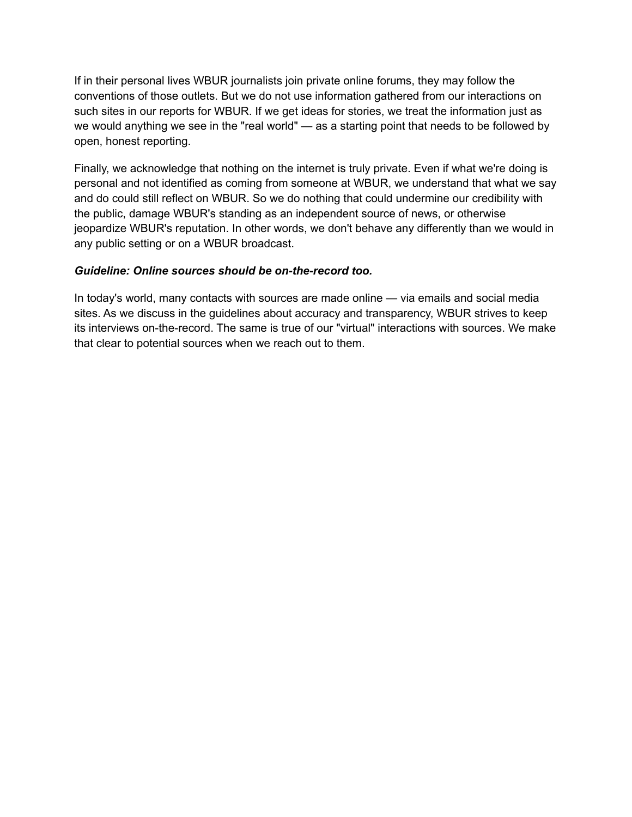If in their personal lives WBUR journalists join private online forums, they may follow the conventions of those outlets. But we do not use information gathered from our interactions on such sites in our reports for WBUR. If we get ideas for stories, we treat the information just as we would anything we see in the "real world" — as a starting point that needs to be followed by open, honest reporting.

Finally, we acknowledge that nothing on the internet is truly private. Even if what we're doing is personal and not identified as coming from someone at WBUR, we understand that what we say and do could still reflect on WBUR. So we do nothing that could undermine our credibility with the public, damage WBUR's standing as an independent source of news, or otherwise jeopardize WBUR's reputation. In other words, we don't behave any differently than we would in any public setting or on a WBUR broadcast.

### *Guideline: Online sources should be on-the-record too.*

In today's world, many contacts with sources are made online — via emails and social media sites. As we discuss in the guidelines about accuracy and transparency, WBUR strives to keep its interviews on-the-record. The same is true of our "virtual" interactions with sources. We make that clear to potential sources when we reach out to them.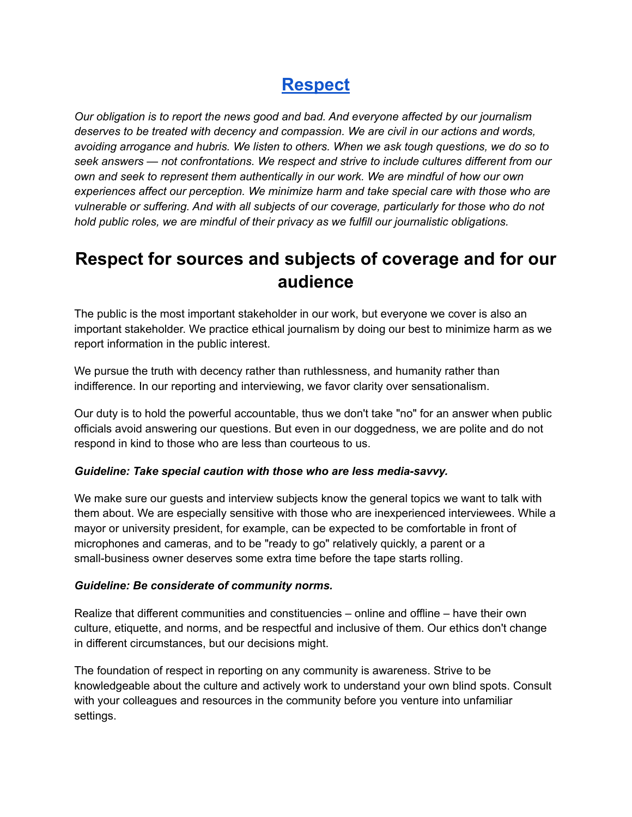### **[Respect](http://www.wbur.org/2022/03/09/ethics-guide-respect)**

*Our obligation is to report the news good and bad. And everyone affected by our journalism deserves to be treated with decency and compassion. We are civil in our actions and words, avoiding arrogance and hubris. We listen to others. When we ask tough questions, we do so to seek answers — not confrontations. We respect and strive to include cultures different from our own and seek to represent them authentically in our work. We are mindful of how our own experiences affect our perception. We minimize harm and take special care with those who are vulnerable or suffering. And with all subjects of our coverage, particularly for those who do not hold public roles, we are mindful of their privacy as we fulfill our journalistic obligations.*

### **Respect for sources and subjects of coverage and for our audience**

The public is the most important stakeholder in our work, but everyone we cover is also an important stakeholder. We practice ethical journalism by doing our best to minimize harm as we report information in the public interest.

We pursue the truth with decency rather than ruthlessness, and humanity rather than indifference. In our reporting and interviewing, we favor clarity over sensationalism.

Our duty is to hold the powerful accountable, thus we don't take "no" for an answer when public officials avoid answering our questions. But even in our doggedness, we are polite and do not respond in kind to those who are less than courteous to us.

### *Guideline: Take special caution with those who are less media-savvy.*

We make sure our guests and interview subjects know the general topics we want to talk with them about. We are especially sensitive with those who are inexperienced interviewees. While a mayor or university president, for example, can be expected to be comfortable in front of microphones and cameras, and to be "ready to go" relatively quickly, a parent or a small-business owner deserves some extra time before the tape starts rolling.

#### *Guideline: Be considerate of community norms.*

Realize that different communities and constituencies – online and offline – have their own culture, etiquette, and norms, and be respectful and inclusive of them. Our ethics don't change in different circumstances, but our decisions might.

The foundation of respect in reporting on any community is awareness. Strive to be knowledgeable about the culture and actively work to understand your own blind spots. Consult with your colleagues and resources in the community before you venture into unfamiliar settings.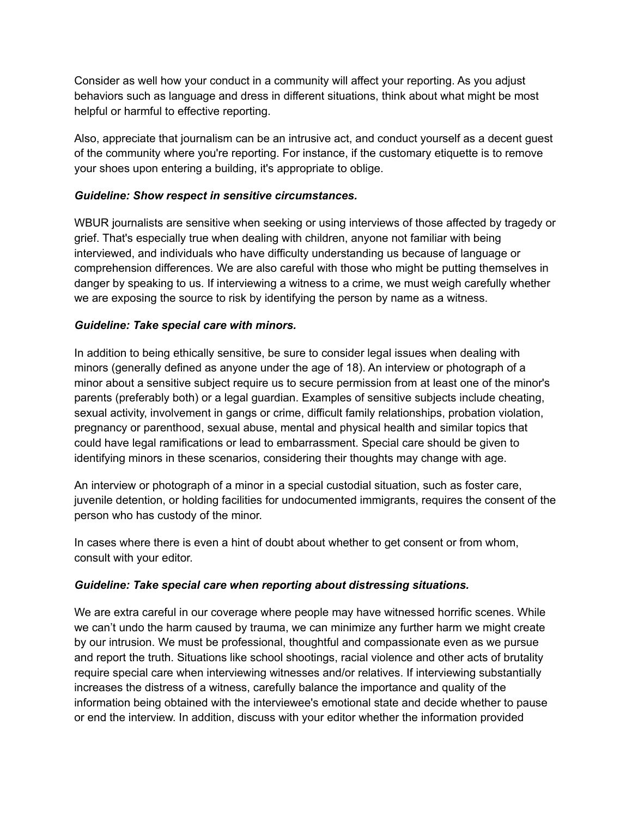Consider as well how your conduct in a community will affect your reporting. As you adjust behaviors such as language and dress in different situations, think about what might be most helpful or harmful to effective reporting.

Also, appreciate that journalism can be an intrusive act, and conduct yourself as a decent guest of the community where you're reporting. For instance, if the customary etiquette is to remove your shoes upon entering a building, it's appropriate to oblige.

### *Guideline: Show respect in sensitive circumstances.*

WBUR journalists are sensitive when seeking or using interviews of those affected by tragedy or grief. That's especially true when dealing with children, anyone not familiar with being interviewed, and individuals who have difficulty understanding us because of language or comprehension differences. We are also careful with those who might be putting themselves in danger by speaking to us. If interviewing a witness to a crime, we must weigh carefully whether we are exposing the source to risk by identifying the person by name as a witness.

### *Guideline: Take special care with minors.*

In addition to being ethically sensitive, be sure to consider legal issues when dealing with minors (generally defined as anyone under the age of 18). An interview or photograph of a minor about a sensitive subject require us to secure permission from at least one of the minor's parents (preferably both) or a legal guardian. Examples of sensitive subjects include cheating, sexual activity, involvement in gangs or crime, difficult family relationships, probation violation, pregnancy or parenthood, sexual abuse, mental and physical health and similar topics that could have legal ramifications or lead to embarrassment. Special care should be given to identifying minors in these scenarios, considering their thoughts may change with age.

An interview or photograph of a minor in a special custodial situation, such as foster care, juvenile detention, or holding facilities for undocumented immigrants, requires the consent of the person who has custody of the minor.

In cases where there is even a hint of doubt about whether to get consent or from whom, consult with your editor.

### *Guideline: Take special care when reporting about distressing situations.*

We are extra careful in our coverage where people may have witnessed horrific scenes. While we can't undo the harm caused by trauma, we can minimize any further harm we might create by our intrusion. We must be professional, thoughtful and compassionate even as we pursue and report the truth. Situations like school shootings, racial violence and other acts of brutality require special care when interviewing witnesses and/or relatives. If interviewing substantially increases the distress of a witness, carefully balance the importance and quality of the information being obtained with the interviewee's emotional state and decide whether to pause or end the interview. In addition, discuss with your editor whether the information provided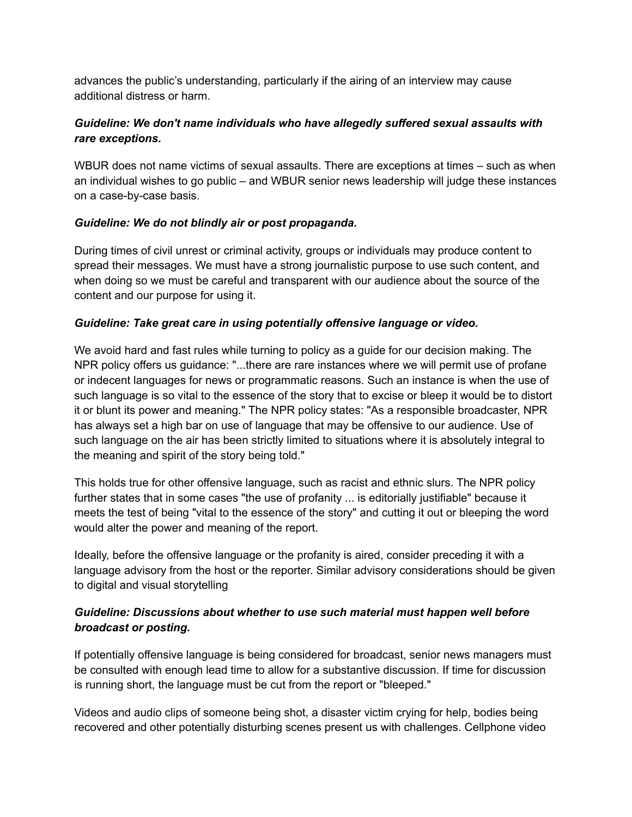advances the public's understanding, particularly if the airing of an interview may cause additional distress or harm.

### *Guideline: We don't name individuals who have allegedly suffered sexual assaults with rare exceptions.*

WBUR does not name victims of sexual assaults. There are exceptions at times – such as when an individual wishes to go public – and WBUR senior news leadership will judge these instances on a case-by-case basis.

### *Guideline: We do not blindly air or post propaganda.*

During times of civil unrest or criminal activity, groups or individuals may produce content to spread their messages. We must have a strong journalistic purpose to use such content, and when doing so we must be careful and transparent with our audience about the source of the content and our purpose for using it.

### *Guideline: Take great care in using potentially offensive language or video.*

We avoid hard and fast rules while turning to policy as a guide for our decision making. The NPR policy offers us guidance: "...there are rare instances where we will permit use of profane or indecent languages for news or programmatic reasons. Such an instance is when the use of such language is so vital to the essence of the story that to excise or bleep it would be to distort it or blunt its power and meaning." The NPR policy states: "As a responsible broadcaster, NPR has always set a high bar on use of language that may be offensive to our audience. Use of such language on the air has been strictly limited to situations where it is absolutely integral to the meaning and spirit of the story being told."

This holds true for other offensive language, such as racist and ethnic slurs. The NPR policy further states that in some cases "the use of profanity ... is editorially justifiable" because it meets the test of being "vital to the essence of the story" and cutting it out or bleeping the word would alter the power and meaning of the report.

Ideally, before the offensive language or the profanity is aired, consider preceding it with a language advisory from the host or the reporter. Similar advisory considerations should be given to digital and visual storytelling

### *Guideline: Discussions about whether to use such material must happen well before broadcast or posting.*

If potentially offensive language is being considered for broadcast, senior news managers must be consulted with enough lead time to allow for a substantive discussion. If time for discussion is running short, the language must be cut from the report or "bleeped."

Videos and audio clips of someone being shot, a disaster victim crying for help, bodies being recovered and other potentially disturbing scenes present us with challenges. Cellphone video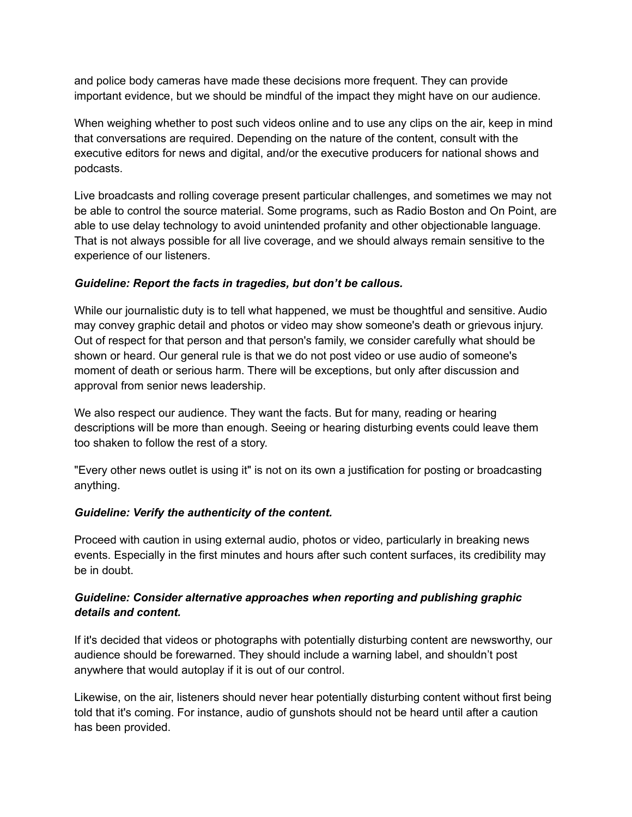and police body cameras have made these decisions more frequent. They can provide important evidence, but we should be mindful of the impact they might have on our audience.

When weighing whether to post such videos online and to use any clips on the air, keep in mind that conversations are required. Depending on the nature of the content, consult with the executive editors for news and digital, and/or the executive producers for national shows and podcasts.

Live broadcasts and rolling coverage present particular challenges, and sometimes we may not be able to control the source material. Some programs, such as Radio Boston and On Point, are able to use delay technology to avoid unintended profanity and other objectionable language. That is not always possible for all live coverage, and we should always remain sensitive to the experience of our listeners.

### *Guideline: Report the facts in tragedies, but don't be callous.*

While our journalistic duty is to tell what happened, we must be thoughtful and sensitive. Audio may convey graphic detail and photos or video may show someone's death or grievous injury. Out of respect for that person and that person's family, we consider carefully what should be shown or heard. Our general rule is that we do not post video or use audio of someone's moment of death or serious harm. There will be exceptions, but only after discussion and approval from senior news leadership.

We also respect our audience. They want the facts. But for many, reading or hearing descriptions will be more than enough. Seeing or hearing disturbing events could leave them too shaken to follow the rest of a story.

"Every other news outlet is using it" is not on its own a justification for posting or broadcasting anything.

#### *Guideline: Verify the authenticity of the content.*

Proceed with caution in using external audio, photos or video, particularly in breaking news events. Especially in the first minutes and hours after such content surfaces, its credibility may be in doubt.

### *Guideline: Consider alternative approaches when reporting and publishing graphic details and content.*

If it's decided that videos or photographs with potentially disturbing content are newsworthy, our audience should be forewarned. They should include a warning label, and shouldn't post anywhere that would autoplay if it is out of our control.

Likewise, on the air, listeners should never hear potentially disturbing content without first being told that it's coming. For instance, audio of gunshots should not be heard until after a caution has been provided.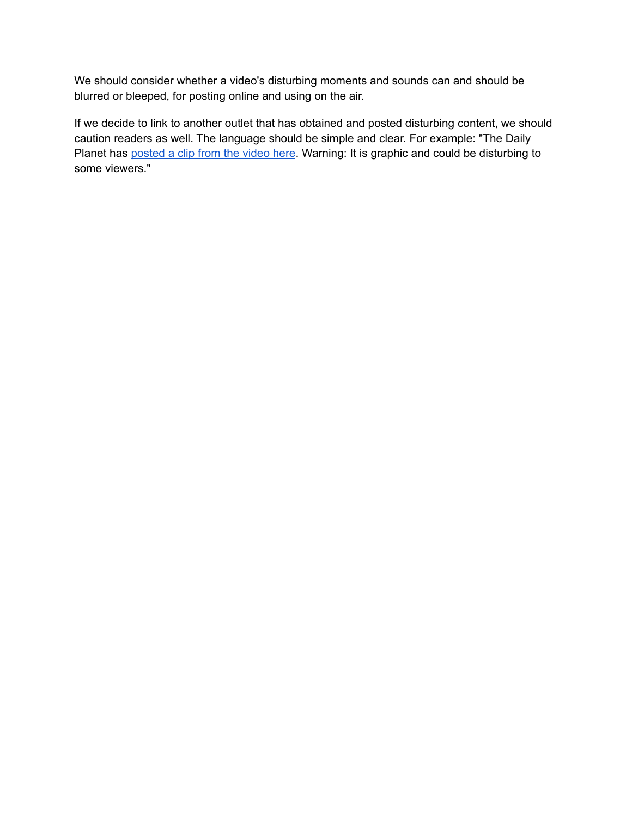We should consider whether a video's disturbing moments and sounds can and should be blurred or bleeped, for posting online and using on the air.

If we decide to link to another outlet that has obtained and posted disturbing content, we should caution readers as well. The language should be simple and clear. For example: "The Daily Planet has [posted](https://youtu.be/OeYnX9NwB1k) a clip from the video here. Warning: It is graphic and could be disturbing to some viewers."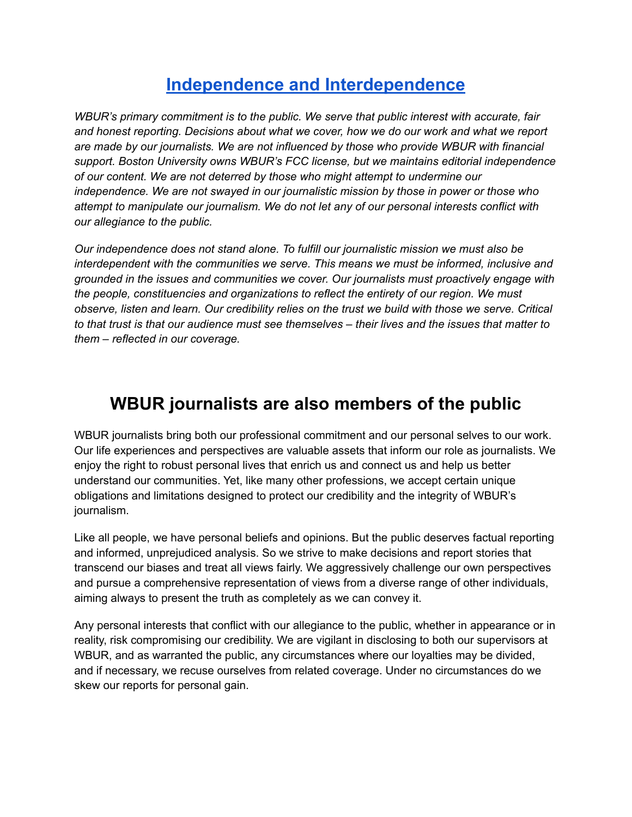### **Independence and [Interdependence](http://www.wbur.org/2022/03/09/ethics-guide-independence-and-interdependence)**

*WBUR's primary commitment is to the public. We serve that public interest with accurate, fair and honest reporting. Decisions about what we cover, how we do our work and what we report are made by our journalists. We are not influenced by those who provide WBUR with financial support. Boston University owns WBUR's FCC license, but we maintains editorial independence of our content. We are not deterred by those who might attempt to undermine our independence. We are not swayed in our journalistic mission by those in power or those who attempt to manipulate our journalism. We do not let any of our personal interests conflict with our allegiance to the public.*

*Our independence does not stand alone. To fulfill our journalistic mission we must also be interdependent with the communities we serve. This means we must be informed, inclusive and grounded in the issues and communities we cover. Our journalists must proactively engage with the people, constituencies and organizations to reflect the entirety of our region. We must observe, listen and learn. Our credibility relies on the trust we build with those we serve. Critical* to that trust is that our audience must see themselves – their lives and the issues that matter to *them – reflected in our coverage.*

### **WBUR journalists are also members of the public**

WBUR journalists bring both our professional commitment and our personal selves to our work. Our life experiences and perspectives are valuable assets that inform our role as journalists. We enjoy the right to robust personal lives that enrich us and connect us and help us better understand our communities. Yet, like many other professions, we accept certain unique obligations and limitations designed to protect our credibility and the integrity of WBUR's journalism.

Like all people, we have personal beliefs and opinions. But the public deserves factual reporting and informed, unprejudiced analysis. So we strive to make decisions and report stories that transcend our biases and treat all views fairly. We aggressively challenge our own perspectives and pursue a comprehensive representation of views from a diverse range of other individuals, aiming always to present the truth as completely as we can convey it.

Any personal interests that conflict with our allegiance to the public, whether in appearance or in reality, risk compromising our credibility. We are vigilant in disclosing to both our supervisors at WBUR, and as warranted the public, any circumstances where our loyalties may be divided, and if necessary, we recuse ourselves from related coverage. Under no circumstances do we skew our reports for personal gain.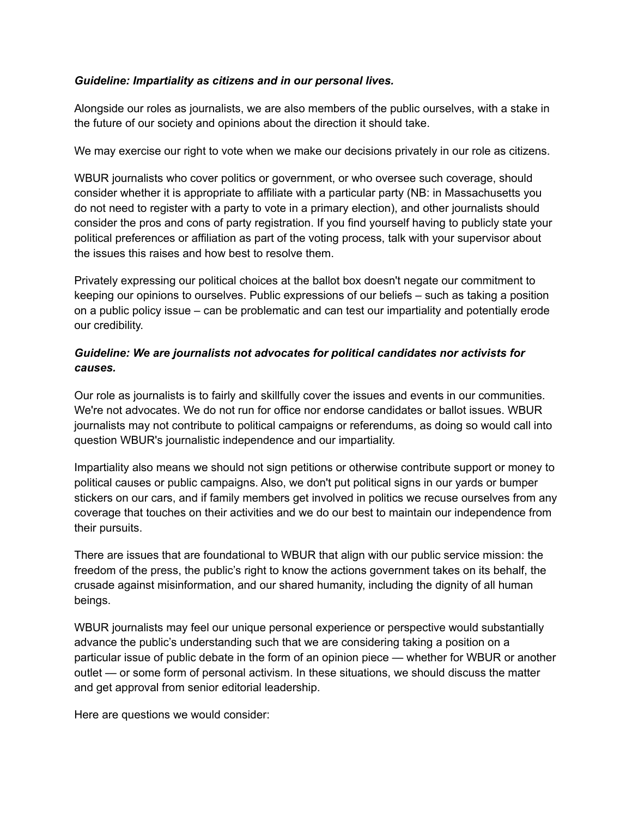### *Guideline: Impartiality as citizens and in our personal lives.*

Alongside our roles as journalists, we are also members of the public ourselves, with a stake in the future of our society and opinions about the direction it should take.

We may exercise our right to vote when we make our decisions privately in our role as citizens.

WBUR journalists who cover politics or government, or who oversee such coverage, should consider whether it is appropriate to affiliate with a particular party (NB: in Massachusetts you do not need to register with a party to vote in a primary election), and other journalists should consider the pros and cons of party registration. If you find yourself having to publicly state your political preferences or affiliation as part of the voting process, talk with your supervisor about the issues this raises and how best to resolve them.

Privately expressing our political choices at the ballot box doesn't negate our commitment to keeping our opinions to ourselves. Public expressions of our beliefs – such as taking a position on a public policy issue – can be problematic and can test our impartiality and potentially erode our credibility.

### *Guideline: We are journalists not advocates for political candidates nor activists for causes.*

Our role as journalists is to fairly and skillfully cover the issues and events in our communities. We're not advocates. We do not run for office nor endorse candidates or ballot issues. WBUR journalists may not contribute to political campaigns or referendums, as doing so would call into question WBUR's journalistic independence and our impartiality.

Impartiality also means we should not sign petitions or otherwise contribute support or money to political causes or public campaigns. Also, we don't put political signs in our yards or bumper stickers on our cars, and if family members get involved in politics we recuse ourselves from any coverage that touches on their activities and we do our best to maintain our independence from their pursuits.

There are issues that are foundational to WBUR that align with our public service mission: the freedom of the press, the public's right to know the actions government takes on its behalf, the crusade against misinformation, and our shared humanity, including the dignity of all human beings.

WBUR journalists may feel our unique personal experience or perspective would substantially advance the public's understanding such that we are considering taking a position on a particular issue of public debate in the form of an opinion piece — whether for WBUR or another outlet — or some form of personal activism. In these situations, we should discuss the matter and get approval from senior editorial leadership.

Here are questions we would consider: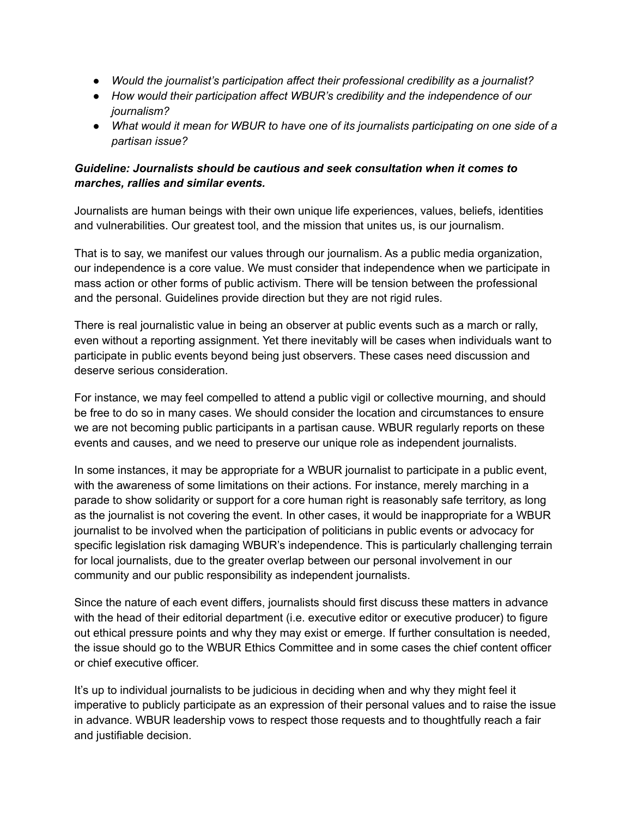- *Would the journalist's participation affect their professional credibility as a journalist?*
- *How would their participation affect WBUR's credibility and the independence of our journalism?*
- *What would it mean for WBUR to have one of its journalists participating on one side of a partisan issue?*

### *Guideline: Journalists should be cautious and seek consultation when it comes to marches, rallies and similar events.*

Journalists are human beings with their own unique life experiences, values, beliefs, identities and vulnerabilities. Our greatest tool, and the mission that unites us, is our journalism.

That is to say, we manifest our values through our journalism. As a public media organization, our independence is a core value. We must consider that independence when we participate in mass action or other forms of public activism. There will be tension between the professional and the personal. Guidelines provide direction but they are not rigid rules.

There is real journalistic value in being an observer at public events such as a march or rally, even without a reporting assignment. Yet there inevitably will be cases when individuals want to participate in public events beyond being just observers. These cases need discussion and deserve serious consideration.

For instance, we may feel compelled to attend a public vigil or collective mourning, and should be free to do so in many cases. We should consider the location and circumstances to ensure we are not becoming public participants in a partisan cause. WBUR regularly reports on these events and causes, and we need to preserve our unique role as independent journalists.

In some instances, it may be appropriate for a WBUR journalist to participate in a public event, with the awareness of some limitations on their actions. For instance, merely marching in a parade to show solidarity or support for a core human right is reasonably safe territory, as long as the journalist is not covering the event. In other cases, it would be inappropriate for a WBUR journalist to be involved when the participation of politicians in public events or advocacy for specific legislation risk damaging WBUR's independence. This is particularly challenging terrain for local journalists, due to the greater overlap between our personal involvement in our community and our public responsibility as independent journalists.

Since the nature of each event differs, journalists should first discuss these matters in advance with the head of their editorial department (i.e. executive editor or executive producer) to figure out ethical pressure points and why they may exist or emerge. If further consultation is needed, the issue should go to the WBUR Ethics Committee and in some cases the chief content officer or chief executive officer.

It's up to individual journalists to be judicious in deciding when and why they might feel it imperative to publicly participate as an expression of their personal values and to raise the issue in advance. WBUR leadership vows to respect those requests and to thoughtfully reach a fair and justifiable decision.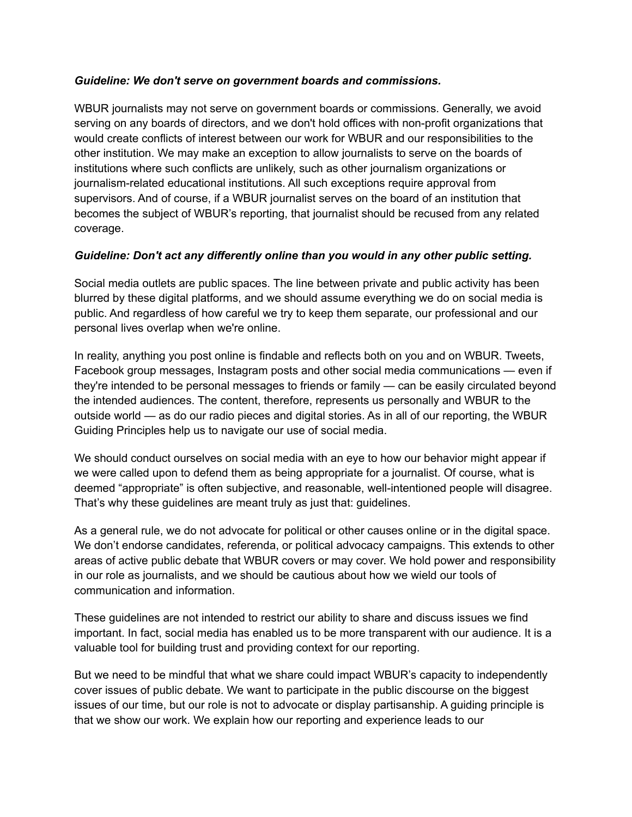#### *Guideline: We don't serve on government boards and commissions.*

WBUR journalists may not serve on government boards or commissions. Generally, we avoid serving on any boards of directors, and we don't hold offices with non-profit organizations that would create conflicts of interest between our work for WBUR and our responsibilities to the other institution. We may make an exception to allow journalists to serve on the boards of institutions where such conflicts are unlikely, such as other journalism organizations or journalism-related educational institutions. All such exceptions require approval from supervisors. And of course, if a WBUR journalist serves on the board of an institution that becomes the subject of WBUR's reporting, that journalist should be recused from any related coverage.

### *Guideline: Don't act any differently online than you would in any other public setting.*

Social media outlets are public spaces. The line between private and public activity has been blurred by these digital platforms, and we should assume everything we do on social media is public. And regardless of how careful we try to keep them separate, our professional and our personal lives overlap when we're online.

In reality, anything you post online is findable and reflects both on you and on WBUR. Tweets, Facebook group messages, Instagram posts and other social media communications — even if they're intended to be personal messages to friends or family — can be easily circulated beyond the intended audiences. The content, therefore, represents us personally and WBUR to the outside world — as do our radio pieces and digital stories. As in all of our reporting, the WBUR Guiding Principles help us to navigate our use of social media.

We should conduct ourselves on social media with an eye to how our behavior might appear if we were called upon to defend them as being appropriate for a journalist. Of course, what is deemed "appropriate" is often subjective, and reasonable, well-intentioned people will disagree. That's why these guidelines are meant truly as just that: guidelines.

As a general rule, we do not advocate for political or other causes online or in the digital space. We don't endorse candidates, referenda, or political advocacy campaigns. This extends to other areas of active public debate that WBUR covers or may cover. We hold power and responsibility in our role as journalists, and we should be cautious about how we wield our tools of communication and information.

These guidelines are not intended to restrict our ability to share and discuss issues we find important. In fact, social media has enabled us to be more transparent with our audience. It is a valuable tool for building trust and providing context for our reporting.

But we need to be mindful that what we share could impact WBUR's capacity to independently cover issues of public debate. We want to participate in the public discourse on the biggest issues of our time, but our role is not to advocate or display partisanship. A guiding principle is that we show our work. We explain how our reporting and experience leads to our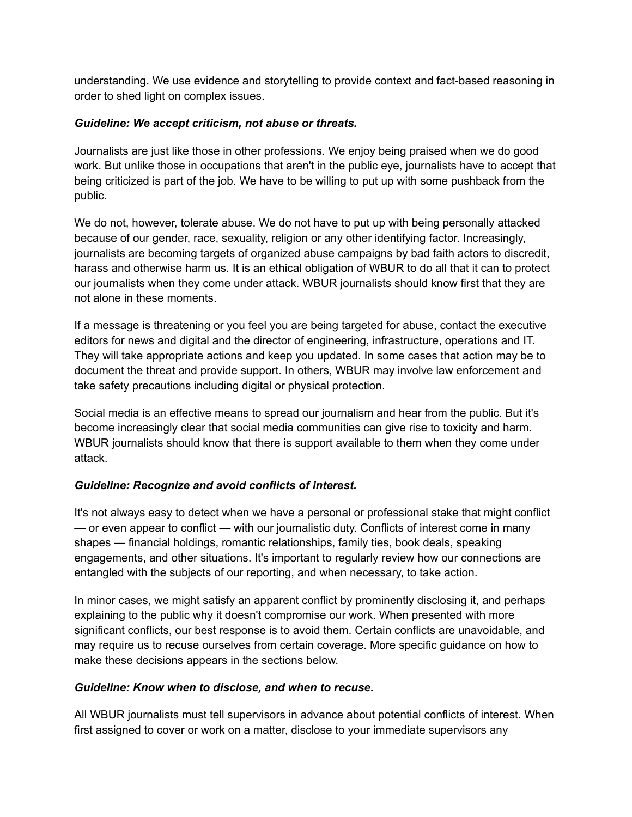understanding. We use evidence and storytelling to provide context and fact-based reasoning in order to shed light on complex issues.

#### *Guideline: We accept criticism, not abuse or threats.*

Journalists are just like those in other professions. We enjoy being praised when we do good work. But unlike those in occupations that aren't in the public eye, journalists have to accept that being criticized is part of the job. We have to be willing to put up with some pushback from the public.

We do not, however, tolerate abuse. We do not have to put up with being personally attacked because of our gender, race, sexuality, religion or any other identifying factor. Increasingly, journalists are becoming targets of organized abuse campaigns by bad faith actors to discredit, harass and otherwise harm us. It is an ethical obligation of WBUR to do all that it can to protect our journalists when they come under attack. WBUR journalists should know first that they are not alone in these moments.

If a message is threatening or you feel you are being targeted for abuse, contact the executive editors for news and digital and the director of engineering, infrastructure, operations and IT. They will take appropriate actions and keep you updated. In some cases that action may be to document the threat and provide support. In others, WBUR may involve law enforcement and take safety precautions including digital or physical protection.

Social media is an effective means to spread our journalism and hear from the public. But it's become increasingly clear that social media communities can give rise to toxicity and harm. WBUR journalists should know that there is support available to them when they come under attack.

### *Guideline: Recognize and avoid conflicts of interest.*

It's not always easy to detect when we have a personal or professional stake that might conflict — or even appear to conflict — with our journalistic duty. Conflicts of interest come in many shapes — financial holdings, romantic relationships, family ties, book deals, speaking engagements, and other situations. It's important to regularly review how our connections are entangled with the subjects of our reporting, and when necessary, to take action.

In minor cases, we might satisfy an apparent conflict by prominently disclosing it, and perhaps explaining to the public why it doesn't compromise our work. When presented with more significant conflicts, our best response is to avoid them. Certain conflicts are unavoidable, and may require us to recuse ourselves from certain coverage. More specific guidance on how to make these decisions appears in the sections below.

### *Guideline: Know when to disclose, and when to recuse.*

All WBUR journalists must tell supervisors in advance about potential conflicts of interest. When first assigned to cover or work on a matter, disclose to your immediate supervisors any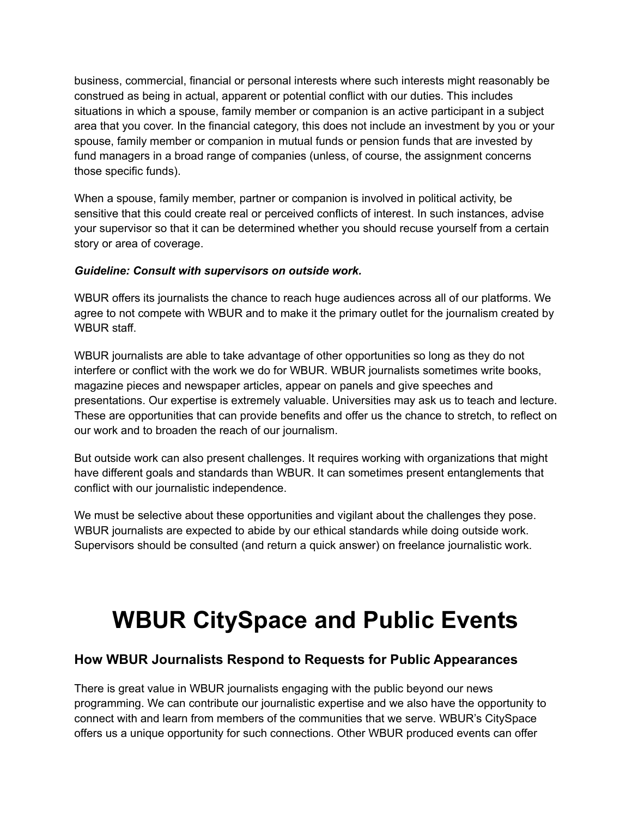business, commercial, financial or personal interests where such interests might reasonably be construed as being in actual, apparent or potential conflict with our duties. This includes situations in which a spouse, family member or companion is an active participant in a subject area that you cover. In the financial category, this does not include an investment by you or your spouse, family member or companion in mutual funds or pension funds that are invested by fund managers in a broad range of companies (unless, of course, the assignment concerns those specific funds).

When a spouse, family member, partner or companion is involved in political activity, be sensitive that this could create real or perceived conflicts of interest. In such instances, advise your supervisor so that it can be determined whether you should recuse yourself from a certain story or area of coverage.

### *Guideline: Consult with supervisors on outside work.*

WBUR offers its journalists the chance to reach huge audiences across all of our platforms. We agree to not compete with WBUR and to make it the primary outlet for the journalism created by WBUR staff

WBUR journalists are able to take advantage of other opportunities so long as they do not interfere or conflict with the work we do for WBUR. WBUR journalists sometimes write books, magazine pieces and newspaper articles, appear on panels and give speeches and presentations. Our expertise is extremely valuable. Universities may ask us to teach and lecture. These are opportunities that can provide benefits and offer us the chance to stretch, to reflect on our work and to broaden the reach of our journalism.

But outside work can also present challenges. It requires working with organizations that might have different goals and standards than WBUR. It can sometimes present entanglements that conflict with our journalistic independence.

We must be selective about these opportunities and vigilant about the challenges they pose. WBUR journalists are expected to abide by our ethical standards while doing outside work. Supervisors should be consulted (and return a quick answer) on freelance journalistic work.

# **WBUR CitySpace and Public Events**

### **How WBUR Journalists Respond to Requests for Public Appearances**

There is great value in WBUR journalists engaging with the public beyond our news programming. We can contribute our journalistic expertise and we also have the opportunity to connect with and learn from members of the communities that we serve. WBUR's CitySpace offers us a unique opportunity for such connections. Other WBUR produced events can offer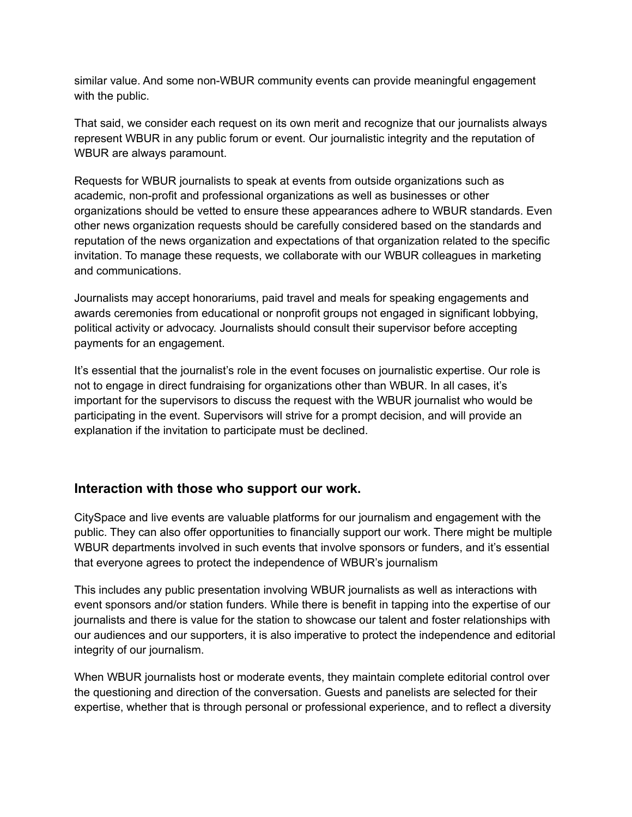similar value. And some non-WBUR community events can provide meaningful engagement with the public.

That said, we consider each request on its own merit and recognize that our journalists always represent WBUR in any public forum or event. Our journalistic integrity and the reputation of WBUR are always paramount.

Requests for WBUR journalists to speak at events from outside organizations such as academic, non-profit and professional organizations as well as businesses or other organizations should be vetted to ensure these appearances adhere to WBUR standards. Even other news organization requests should be carefully considered based on the standards and reputation of the news organization and expectations of that organization related to the specific invitation. To manage these requests, we collaborate with our WBUR colleagues in marketing and communications.

Journalists may accept honorariums, paid travel and meals for speaking engagements and awards ceremonies from educational or nonprofit groups not engaged in significant lobbying, political activity or advocacy. Journalists should consult their supervisor before accepting payments for an engagement.

It's essential that the journalist's role in the event focuses on journalistic expertise. Our role is not to engage in direct fundraising for organizations other than WBUR. In all cases, it's important for the supervisors to discuss the request with the WBUR journalist who would be participating in the event. Supervisors will strive for a prompt decision, and will provide an explanation if the invitation to participate must be declined.

### **Interaction with those who support our work.**

CitySpace and live events are valuable platforms for our journalism and engagement with the public. They can also offer opportunities to financially support our work. There might be multiple WBUR departments involved in such events that involve sponsors or funders, and it's essential that everyone agrees to protect the independence of WBUR's journalism

This includes any public presentation involving WBUR journalists as well as interactions with event sponsors and/or station funders. While there is benefit in tapping into the expertise of our journalists and there is value for the station to showcase our talent and foster relationships with our audiences and our supporters, it is also imperative to protect the independence and editorial integrity of our journalism.

When WBUR journalists host or moderate events, they maintain complete editorial control over the questioning and direction of the conversation. Guests and panelists are selected for their expertise, whether that is through personal or professional experience, and to reflect a diversity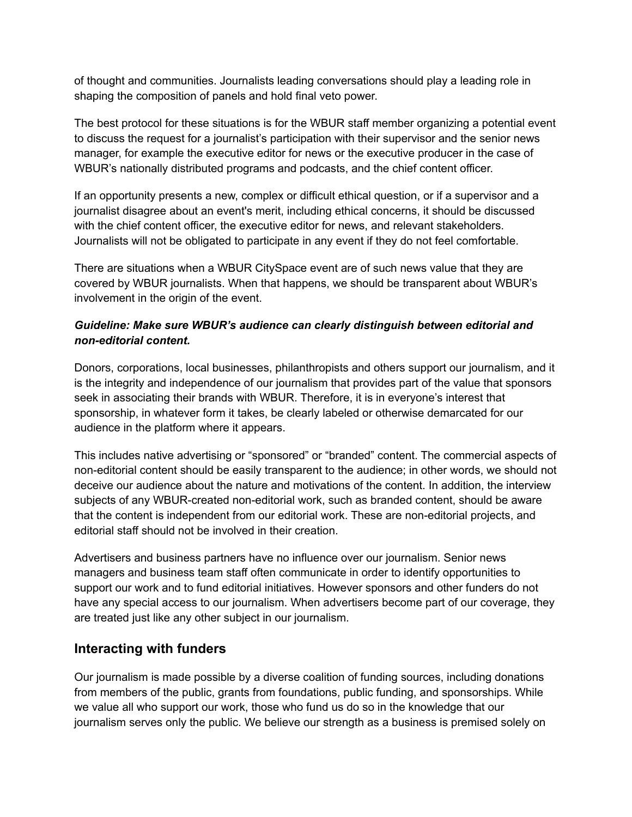of thought and communities. Journalists leading conversations should play a leading role in shaping the composition of panels and hold final veto power.

The best protocol for these situations is for the WBUR staff member organizing a potential event to discuss the request for a journalist's participation with their supervisor and the senior news manager, for example the executive editor for news or the executive producer in the case of WBUR's nationally distributed programs and podcasts, and the chief content officer.

If an opportunity presents a new, complex or difficult ethical question, or if a supervisor and a journalist disagree about an event's merit, including ethical concerns, it should be discussed with the chief content officer, the executive editor for news, and relevant stakeholders. Journalists will not be obligated to participate in any event if they do not feel comfortable.

There are situations when a WBUR CitySpace event are of such news value that they are covered by WBUR journalists. When that happens, we should be transparent about WBUR's involvement in the origin of the event.

### *Guideline: Make sure WBUR's audience can clearly distinguish between editorial and non-editorial content.*

Donors, corporations, local businesses, philanthropists and others support our journalism, and it is the integrity and independence of our journalism that provides part of the value that sponsors seek in associating their brands with WBUR. Therefore, it is in everyone's interest that sponsorship, in whatever form it takes, be clearly labeled or otherwise demarcated for our audience in the platform where it appears.

This includes native advertising or "sponsored" or "branded" content. The commercial aspects of non-editorial content should be easily transparent to the audience; in other words, we should not deceive our audience about the nature and motivations of the content. In addition, the interview subjects of any WBUR-created non-editorial work, such as branded content, should be aware that the content is independent from our editorial work. These are non-editorial projects, and editorial staff should not be involved in their creation.

Advertisers and business partners have no influence over our journalism. Senior news managers and business team staff often communicate in order to identify opportunities to support our work and to fund editorial initiatives. However sponsors and other funders do not have any special access to our journalism. When advertisers become part of our coverage, they are treated just like any other subject in our journalism.

### **Interacting with funders**

Our journalism is made possible by a diverse coalition of funding sources, including donations from members of the public, grants from foundations, public funding, and sponsorships. While we value all who support our work, those who fund us do so in the knowledge that our journalism serves only the public. We believe our strength as a business is premised solely on